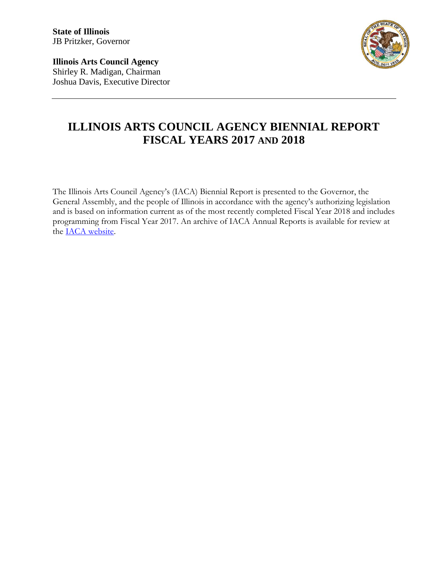**State of Illinois** JB Pritzker, Governor

**Illinois Arts Council Agency** Shirley R. Madigan, Chairman Joshua Davis, Executive Director



# **ILLINOIS ARTS COUNCIL AGENCY BIENNIAL REPORT FISCAL YEARS 2017 AND 2018**

The Illinois Arts Council Agency's (IACA) Biennial Report is presented to the Governor, the General Assembly, and the people of Illinois in accordance with the agency's authorizing legislation and is based on information current as of the most recently completed Fiscal Year 2018 and includes programming from Fiscal Year 2017. An archive of IACA Annual Reports is available for review at the [IACA website.](http://www.arts.illinois.gov/annual-report)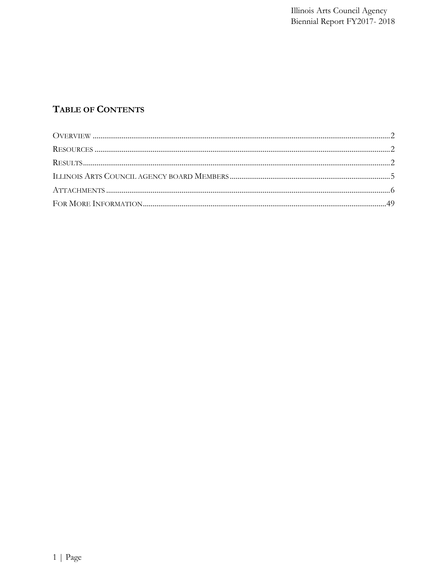# TABLE OF CONTENTS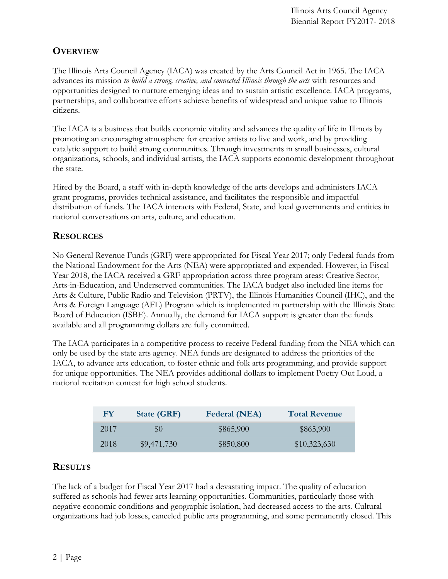# <span id="page-2-0"></span>**OVERVIEW**

The Illinois Arts Council Agency (IACA) was created by the Arts Council Act in 1965. The IACA advances its mission *to build a strong, creative, and connected Illinois through the arts* with resources and opportunities designed to nurture emerging ideas and to sustain artistic excellence. IACA programs, partnerships, and collaborative efforts achieve benefits of widespread and unique value to Illinois citizens.

The IACA is a business that builds economic vitality and advances the quality of life in Illinois by promoting an encouraging atmosphere for creative artists to live and work, and by providing catalytic support to build strong communities. Through investments in small businesses, cultural organizations, schools, and individual artists, the IACA supports economic development throughout the state.

Hired by the Board, a staff with in-depth knowledge of the arts develops and administers IACA grant programs, provides technical assistance, and facilitates the responsible and impactful distribution of funds. The IACA interacts with Federal, State, and local governments and entities in national conversations on arts, culture, and education.

# <span id="page-2-1"></span>**RESOURCES**

No General Revenue Funds (GRF) were appropriated for Fiscal Year 2017; only Federal funds from the National Endowment for the Arts (NEA) were appropriated and expended. However, in Fiscal Year 2018, the IACA received a GRF appropriation across three program areas: Creative Sector, Arts-in-Education, and Underserved communities. The IACA budget also included line items for Arts & Culture, Public Radio and Television (PRTV), the Illinois Humanities Council (IHC), and the Arts & Foreign Language (AFL) Program which is implemented in partnership with the Illinois State Board of Education (ISBE). Annually, the demand for IACA support is greater than the funds available and all programming dollars are fully committed.

The IACA participates in a competitive process to receive Federal funding from the NEA which can only be used by the state arts agency. NEA funds are designated to address the priorities of the IACA, to advance arts education, to foster ethnic and folk arts programming, and provide support for unique opportunities. The NEA provides additional dollars to implement Poetry Out Loud, a national recitation contest for high school students.

| FY   | <b>State (GRF)</b> | <b>Federal (NEA)</b> | <b>Total Revenue</b> |
|------|--------------------|----------------------|----------------------|
| 2017 | $\mathcal{S}(x)$   | \$865,900            | \$865,900            |
| 2018 | \$9,471,730        | \$850,800            | \$10,323,630         |

# <span id="page-2-2"></span>**RESULTS**

The lack of a budget for Fiscal Year 2017 had a devastating impact. The quality of education suffered as schools had fewer arts learning opportunities. Communities, particularly those with negative economic conditions and geographic isolation, had decreased access to the arts. Cultural organizations had job losses, canceled public arts programming, and some permanently closed. This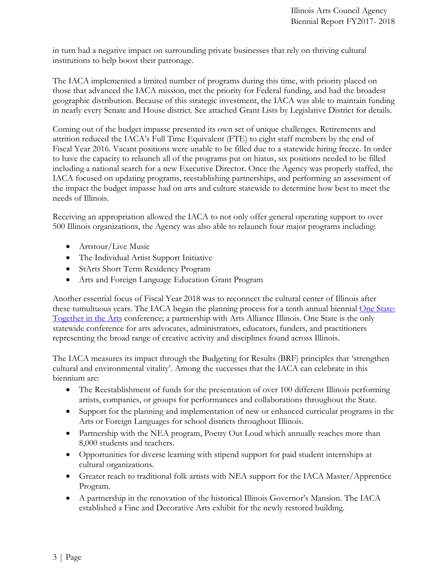in turn had a negative impact on surrounding private businesses that rely on thriving cultural institutions to help boost their patronage.

The IACA implemented a limited number of programs during this time, with priority placed on those that advanced the IACA mission, met the priority for Federal funding, and had the broadest geographic distribution. Because of this strategic investment, the IACA was able to maintain funding in nearly every Senate and House district. See attached Grant Lists by Legislative District for details.

Coming out of the budget impasse presented its own set of unique challenges. Retirements and attrition reduced the IACA's Full Time Equivalent (FTE) to eight staff members by the end of Fiscal Year 2016. Vacant positions were unable to be filled due to a statewide hiring freeze. In order to have the capacity to relaunch all of the programs put on hiatus, six positions needed to be filled including a national search for a new Executive Director. Once the Agency was properly staffed, the IACA focused on updating programs, reestablishing partnerships, and performing an assessment of the impact the budget impasse had on arts and culture statewide to determine how best to meet the needs of Illinois.

Receiving an appropriation allowed the IACA to not only offer general operating support to over 500 Illinois organizations, the Agency was also able to relaunch four major programs including:

- Artstour/Live Music
- The Individual Artist Support Initiative
- StArts Short Term Residency Program
- Arts and Foreign Language Education Grant Program

Another essential focus of Fiscal Year 2018 was to reconnect the cultural center of Illinois after these tumultuous years. The IACA began the planning process for a tenth annual biennial [One State:](http://onestateillinois.com/about/)  [Together in the Arts](http://onestateillinois.com/about/) conference; a partnership with Arts Alliance Illinois. One State is the only statewide conference for arts advocates, administrators, educators, funders, and practitioners representing the broad range of creative activity and disciplines found across Illinois.

The IACA measures its impact through the Budgeting for Results (BRF) principles that 'strengthen cultural and environmental vitality'. Among the successes that the IACA can celebrate in this biennium are:

- The Reestablishment of funds for the presentation of over 100 different Illinois performing artists, companies, or groups for performances and collaborations throughout the State.
- Support for the planning and implementation of new or enhanced curricular programs in the Arts or Foreign Languages for school districts throughout Illinois.
- Partnership with the NEA program, Poetry Out Loud which annually reaches more than 8,000 students and teachers.
- Opportunities for diverse learning with stipend support for paid student internships at cultural organizations.
- Greater reach to traditional folk artists with NEA support for the IACA Master/Apprentice Program.
- A partnership in the renovation of the historical Illinois Governor's Mansion. The IACA established a Fine and Decorative Arts exhibit for the newly restored building.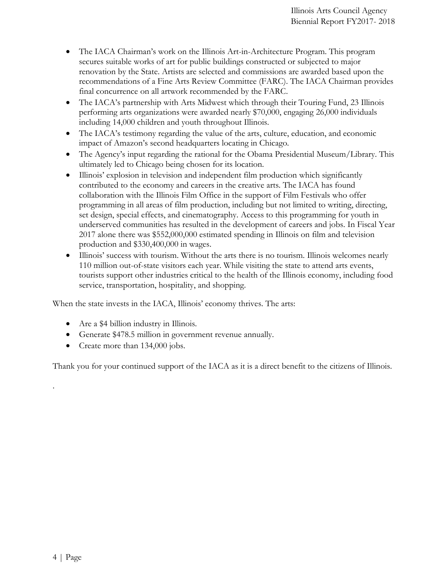- The IACA Chairman's work on the Illinois Art-in-Architecture Program. This program secures suitable works of art for public buildings constructed or subjected to major renovation by the State. Artists are selected and commissions are awarded based upon the recommendations of a Fine Arts Review Committee (FARC). The IACA Chairman provides final concurrence on all artwork recommended by the FARC.
- The IACA's partnership with Arts Midwest which through their Touring Fund, 23 Illinois performing arts organizations were awarded nearly \$70,000, engaging 26,000 individuals including 14,000 children and youth throughout Illinois.
- The IACA's testimony regarding the value of the arts, culture, education, and economic impact of Amazon's second headquarters locating in Chicago.
- The Agency's input regarding the rational for the Obama Presidential Museum/Library. This ultimately led to Chicago being chosen for its location.
- Illinois' explosion in television and independent film production which significantly contributed to the economy and careers in the creative arts. The IACA has found collaboration with the Illinois Film Office in the support of Film Festivals who offer programming in all areas of film production, including but not limited to writing, directing, set design, special effects, and cinematography. Access to this programming for youth in underserved communities has resulted in the development of careers and jobs. In Fiscal Year 2017 alone there was \$552,000,000 estimated spending in Illinois on film and television production and \$330,400,000 in wages.
- Illinois' success with tourism. Without the arts there is no tourism. Illinois welcomes nearly 110 million out-of-state visitors each year. While visiting the state to attend arts events, tourists support other industries critical to the health of the Illinois economy, including food service, transportation, hospitality, and shopping.

When the state invests in the IACA, Illinois' economy thrives. The arts:

- Are a \$4 billion industry in Illinois.
- Generate \$478.5 million in government revenue annually.
- Create more than 134,000 jobs.

Thank you for your continued support of the IACA as it is a direct benefit to the citizens of Illinois.

.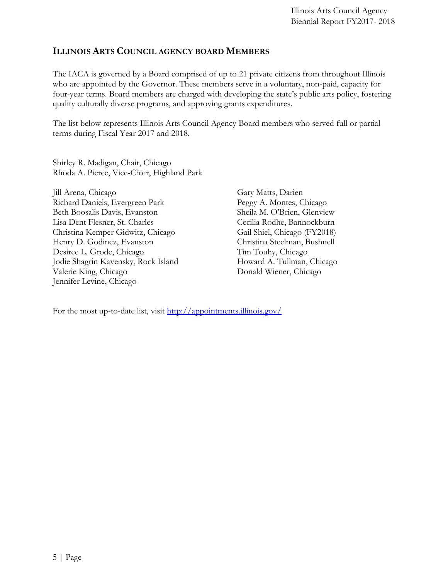# <span id="page-5-0"></span>**ILLINOIS ARTS COUNCIL AGENCY BOARD MEMBERS**

The IACA is governed by a Board comprised of up to 21 private citizens from throughout Illinois who are appointed by the Governor. These members serve in a voluntary, non-paid, capacity for four-year terms. Board members are charged with developing the state's public arts policy, fostering quality culturally diverse programs, and approving grants expenditures.

The list below represents Illinois Arts Council Agency Board members who served full or partial terms during Fiscal Year 2017 and 2018.

Shirley R. Madigan, Chair, Chicago Rhoda A. Pierce, Vice-Chair, Highland Park

Jill Arena, Chicago Richard Daniels, Evergreen Park Beth Boosalis Davis, Evanston Lisa Dent Flesner, St. Charles Christina Kemper Gidwitz, Chicago Henry D. Godinez, Evanston Desiree L. Grode, Chicago Jodie Shagrin Kavensky, Rock Island Valerie King, Chicago Jennifer Levine, Chicago

Gary Matts, Darien Peggy A. Montes, Chicago Sheila M. O'Brien, Glenview Cecilia Rodhe, Bannockburn Gail Shiel, Chicago (FY2018) Christina Steelman, Bushnell Tim Touhy, Chicago Howard A. Tullman, Chicago Donald Wiener, Chicago

For the most up-to-date list, visit<http://appointments.illinois.gov/>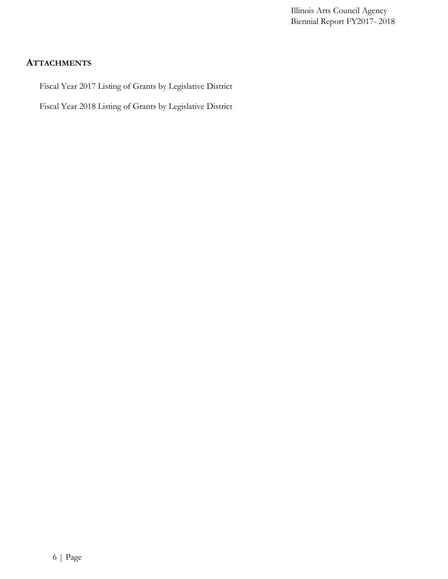## <span id="page-6-0"></span>**ATTACHMENTS**

Fiscal Year 2017 Listing of Grants by Legislative District

Fiscal Year 2018 Listing of Grants by Legislative District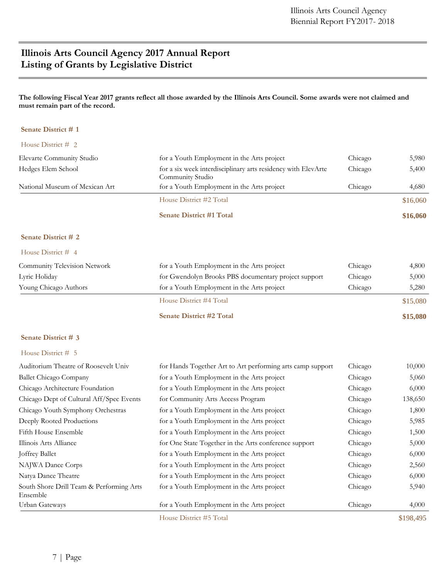# **Illinois Arts Council Agency 2017 Annual Report Listing of Grants by Legislative District**

### **The following Fiscal Year 2017 grants reflect all those awarded by the Illinois Arts Council. Some awards were not claimed and must remain part of the record.**

### **Senate District # 1**

|                                | <b>Senate District #1 Total</b>                                                   |         | \$16,060 |
|--------------------------------|-----------------------------------------------------------------------------------|---------|----------|
|                                | House District #2 Total                                                           |         | \$16,060 |
| National Museum of Mexican Art | for a Youth Employment in the Arts project                                        | Chicago | 4,680    |
| Hedges Elem School             | for a six week interdisciplinary arts residency with ElevArte<br>Community Studio | Chicago | 5,400    |
| Elevarte Community Studio      | for a Youth Employment in the Arts project                                        | Chicago | 5,980    |
| House District $\#$ 2          |                                                                                   |         |          |

### **Senate District # 2**

#### House District # 4

|                              | House District #4 Total                              |         | \$15,080 |
|------------------------------|------------------------------------------------------|---------|----------|
| Young Chicago Authors        | for a Youth Employment in the Arts project           | Chicago | 5,280    |
| Lyric Holiday                | for Gwendolyn Brooks PBS documentary project support | Chicago | 5,000    |
| Community Television Network | for a Youth Employment in the Arts project           | Chicago | 4,800    |
|                              |                                                      |         |          |

| <b>Senate District #2 Total</b> | \$15,080 |
|---------------------------------|----------|
|                                 |          |

#### **Senate District # 3**

|                                                      | House District #5 Total                                    |         | \$198,495 |
|------------------------------------------------------|------------------------------------------------------------|---------|-----------|
| Urban Gateways                                       | for a Youth Employment in the Arts project                 | Chicago | 4,000     |
| South Shore Drill Team & Performing Arts<br>Ensemble | for a Youth Employment in the Arts project                 | Chicago | 5,940     |
| Natya Dance Theatre                                  | for a Youth Employment in the Arts project                 | Chicago | 6,000     |
| NAJWA Dance Corps                                    | for a Youth Employment in the Arts project                 | Chicago | 2,560     |
| <b>Joffrey Ballet</b>                                | for a Youth Employment in the Arts project                 | Chicago | 6,000     |
| Illinois Arts Alliance                               | for One State Together in the Arts conference support      | Chicago | 5,000     |
| Fifth House Ensemble                                 | for a Youth Employment in the Arts project                 | Chicago | 1,500     |
| Deeply Rooted Productions                            | for a Youth Employment in the Arts project                 | Chicago | 5,985     |
| Chicago Youth Symphony Orchestras                    | for a Youth Employment in the Arts project                 | Chicago | 1,800     |
| Chicago Dept of Cultural Aff/Spec Events             | for Community Arts Access Program                          | Chicago | 138,650   |
| Chicago Architecture Foundation                      | for a Youth Employment in the Arts project                 | Chicago | 6,000     |
| Ballet Chicago Company                               | for a Youth Employment in the Arts project                 | Chicago | 5,060     |
| Auditorium Theatre of Roosevelt Univ                 | for Hands Together Art to Art performing arts camp support | Chicago | 10,000    |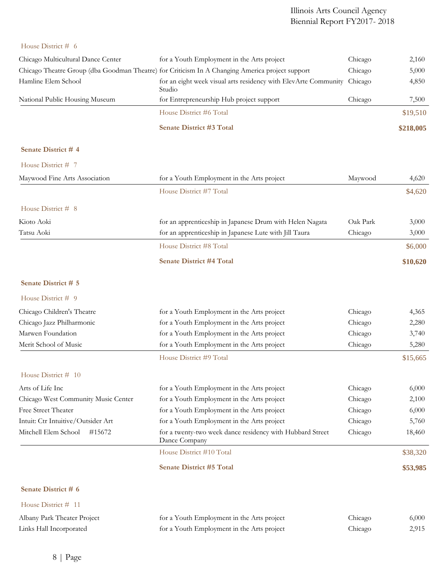## House District # 6

| Chicago Multicultural Dance Center | for a Youth Employment in the Arts project                                                      | Chicago | 2,160     |
|------------------------------------|-------------------------------------------------------------------------------------------------|---------|-----------|
|                                    | Chicago Theatre Group (dba Goodman Theatre) for Criticism In A Changing America project support | Chicago | 5,000     |
| Hamline Elem School                | for an eight week visual arts residency with ElevArte Community Chicago<br>Studio               |         | 4,850     |
| National Public Housing Museum     | for Entrepreneurship Hub project support                                                        | Chicago | 7,500     |
|                                    | House District #6 Total                                                                         |         | \$19,510  |
|                                    | <b>Senate District #3 Total</b>                                                                 |         | \$218,005 |

## **Senate District # 4**

| House District # 7                  |                                                                            |          |          |
|-------------------------------------|----------------------------------------------------------------------------|----------|----------|
| Maywood Fine Arts Association       | for a Youth Employment in the Arts project                                 | Maywood  | 4,620    |
|                                     | House District #7 Total                                                    |          | \$4,620  |
| House District # 8                  |                                                                            |          |          |
| Kioto Aoki                          | for an apprenticeship in Japanese Drum with Helen Nagata                   | Oak Park | 3,000    |
| Tatsu Aoki                          | for an apprenticeship in Japanese Lute with Jill Taura                     | Chicago  | 3,000    |
|                                     | House District #8 Total                                                    |          | \$6,000  |
|                                     | <b>Senate District #4 Total</b>                                            |          | \$10,620 |
| Senate District # 5                 |                                                                            |          |          |
| House District # 9                  |                                                                            |          |          |
| Chicago Children's Theatre          | for a Youth Employment in the Arts project                                 | Chicago  | 4,365    |
| Chicago Jazz Philharmonic           | for a Youth Employment in the Arts project                                 | Chicago  | 2,280    |
| Marwen Foundation                   | for a Youth Employment in the Arts project                                 | Chicago  | 3,740    |
| Merit School of Music               | for a Youth Employment in the Arts project                                 | Chicago  | 5,280    |
|                                     | House District #9 Total                                                    |          | \$15,665 |
| House District $# 10$               |                                                                            |          |          |
| Arts of Life Inc                    | for a Youth Employment in the Arts project                                 | Chicago  | 6,000    |
| Chicago West Community Music Center | for a Youth Employment in the Arts project                                 | Chicago  | 2,100    |
| <b>Free Street Theater</b>          | for a Youth Employment in the Arts project                                 | Chicago  | 6,000    |
| Intuit: Ctr Intuitive/Outsider Art  | for a Youth Employment in the Arts project                                 | Chicago  | 5,760    |
| Mitchell Elem School<br>#15672      | for a twenty-two week dance residency with Hubbard Street<br>Dance Company | Chicago  | 18,460   |
|                                     | House District #10 Total                                                   |          | \$38,320 |
|                                     | <b>Senate District #5 Total</b>                                            |          | \$53,985 |
| Senate District # 6                 |                                                                            |          |          |
| House District # 11                 |                                                                            |          |          |
| Albany Park Theater Project         | for a Youth Employment in the Arts project                                 | Chicago  | 6,000    |
| Links Hall Incorporated             | for a Youth Employment in the Arts project                                 | Chicago  | 2,915    |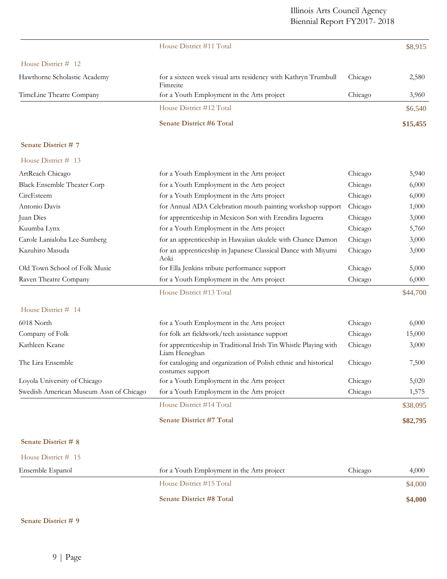|                                         | House District #11 Total                                                            |         | \$8,915  |
|-----------------------------------------|-------------------------------------------------------------------------------------|---------|----------|
| House District # 12                     |                                                                                     |         |          |
| Hawthorne Scholastic Academy            | for a sixteen week visual arts residency with Kathryn Trumbull<br>Fimreite          | Chicago | 2,580    |
| TimeLine Theatre Company                | for a Youth Employment in the Arts project                                          | Chicago | 3,960    |
|                                         | House District #12 Total                                                            |         | \$6,540  |
|                                         | <b>Senate District #6 Total</b>                                                     |         | \$15,455 |
| Senate District #7                      |                                                                                     |         |          |
| House District # 13                     |                                                                                     |         |          |
| ArtReach Chicago                        | for a Youth Employment in the Arts project                                          | Chicago | 5,940    |
| <b>Black Ensemble Theater Corp</b>      | for a Youth Employment in the Arts project                                          | Chicago | 6,000    |
| CircEsteem                              | for a Youth Employment in the Arts project                                          | Chicago | 6,000    |
| Antonio Davis                           | for Annual ADA Celebration mouth painting workshop support                          | Chicago | 1,000    |
| Juan Dies                               | for apprenticeship in Mexicon Son with Erendira Izguerra                            | Chicago | 3,000    |
| Kuumba Lynx                             | for a Youth Employment in the Arts project                                          | Chicago | 5,760    |
| Carole Lanialoha Lee-Sumberg            | for an apprenticeship in Hawaiian ukulele with Chance Damon                         | Chicago | 3,000    |
| Kazuhiro Masuda                         | for an apprenticeship in Japanese Classical Dance with Miyumi<br>Aoki               | Chicago | 3,000    |
| Old Town School of Folk Music           | for Ella Jenkins tribute performance support                                        | Chicago | 5,000    |
| Raven Theatre Company                   | for a Youth Employment in the Arts project                                          | Chicago | 6,000    |
|                                         | House District #13 Total                                                            |         | \$44,700 |
| House District # 14                     |                                                                                     |         |          |
| 6018 North                              | for a Youth Employment in the Arts project                                          | Chicago | 6,000    |
| Company of Folk                         | for folk art fieldwork/tech assistance support                                      | Chicago | 15,000   |
| Kathleen Keane                          | for apprenticeship in Traditional Irish Tin Whistle Playing with<br>Liam Heneghan   | Chicago | 3,000    |
| The Lira Ensemble                       | for cataloging and organization of Polish ethnic and historical<br>costumes support | Chicago | 7,500    |
| Loyola University of Chicago            | for a Youth Employment in the Arts project                                          | Chicago | 5,020    |
| Swedish American Museum Assn of Chicago | for a Youth Employment in the Arts project                                          | Chicago | 1,575    |
|                                         | House District #14 Total                                                            |         | \$38,095 |
|                                         | <b>Senate District #7 Total</b>                                                     |         | \$82,795 |
| Senate District # 8                     |                                                                                     |         |          |
| House District # 15                     |                                                                                     |         |          |
| Ensemble Espanol                        | for a Youth Employment in the Arts project                                          | Chicago | 4,000    |
|                                         | House District #15 Total                                                            |         | \$4,000  |

**Senate District #8 Total \$4,000** 

## **Senate District # 9**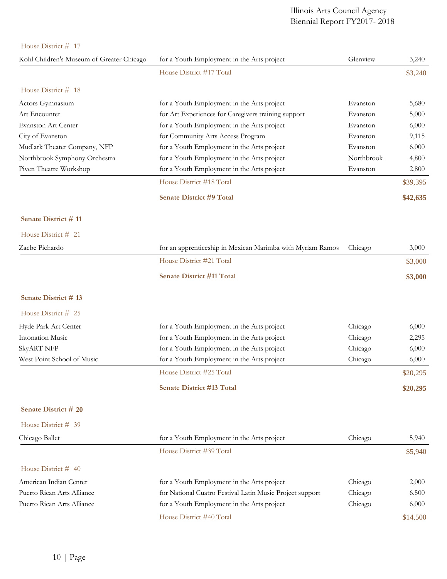| Kohl Children's Museum of Greater Chicago | for a Youth Employment in the Arts project                 | Glenview   | 3,240    |
|-------------------------------------------|------------------------------------------------------------|------------|----------|
|                                           | House District #17 Total                                   |            | \$3,240  |
| House District # 18                       |                                                            |            |          |
| Actors Gymnasium                          | for a Youth Employment in the Arts project                 | Evanston   | 5,680    |
| Art Encounter                             | for Art Experiences for Caregivers training support        | Evanston   | 5,000    |
| Evanston Art Center                       | for a Youth Employment in the Arts project                 | Evanston   | 6,000    |
| City of Evanston                          | for Community Arts Access Program                          | Evanston   | 9,115    |
| Mudlark Theater Company, NFP              | for a Youth Employment in the Arts project                 | Evanston   | 6,000    |
| Northbrook Symphony Orchestra             | for a Youth Employment in the Arts project                 | Northbrook | 4,800    |
| Piven Theatre Workshop                    | for a Youth Employment in the Arts project                 | Evanston   | 2,800    |
|                                           | House District #18 Total                                   |            | \$39,395 |
|                                           | <b>Senate District #9 Total</b>                            |            | \$42,635 |
| Senate District #11                       |                                                            |            |          |
| House District # 21                       |                                                            |            |          |
| Zacbe Pichardo                            | for an apprenticeship in Mexican Marimba with Myriam Ramos | Chicago    | 3,000    |
|                                           | House District #21 Total                                   |            | \$3,000  |
|                                           | <b>Senate District #11 Total</b>                           |            | \$3,000  |
| Senate District #13                       |                                                            |            |          |
| House District # 25                       |                                                            |            |          |
| Hyde Park Art Center                      | for a Youth Employment in the Arts project                 | Chicago    | 6,000    |
| <b>Intonation Music</b>                   | for a Youth Employment in the Arts project                 | Chicago    | 2,295    |
| <b>SkyART NFP</b>                         | for a Youth Employment in the Arts project                 | Chicago    | 6,000    |
| West Point School of Music                | for a Youth Employment in the Arts project                 | Chicago    | 6,000    |
|                                           | House District #25 Total                                   |            | \$20,295 |
|                                           | <b>Senate District #13 Total</b>                           |            | \$20,295 |
| <b>Senate District # 20</b>               |                                                            |            |          |
| House District # 39                       |                                                            |            |          |
| Chicago Ballet                            | for a Youth Employment in the Arts project                 | Chicago    | 5,940    |
|                                           | House District #39 Total                                   |            | \$5,940  |
| House District $#$ 40                     |                                                            |            |          |
| American Indian Center                    | for a Youth Employment in the Arts project                 | Chicago    | 2,000    |
| Puerto Rican Arts Alliance                | for National Cuatro Festival Latin Music Project support   | Chicago    | 6,500    |
| Puerto Rican Arts Alliance                | for a Youth Employment in the Arts project                 | Chicago    | 6,000    |
|                                           | House District #40 Total                                   |            | \$14,500 |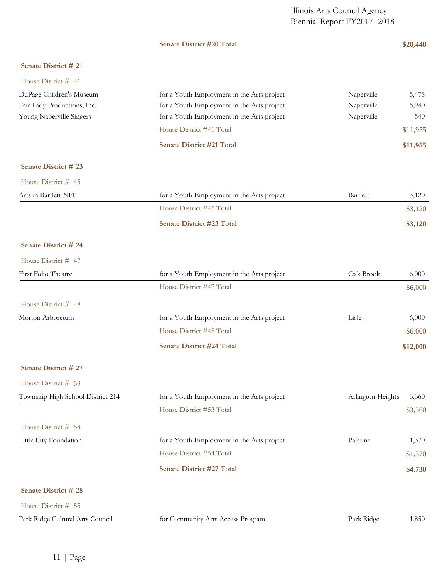## **Senate District #20 Total \$20,440**

## **Senate District # 21**

| House District # 41               |                                                                 |          |
|-----------------------------------|-----------------------------------------------------------------|----------|
| DuPage Children's Museum          | for a Youth Employment in the Arts project<br>Naperville        | 5,475    |
| Fair Lady Productions, Inc.       | for a Youth Employment in the Arts project<br>Naperville        | 5,940    |
| Young Naperville Singers          | for a Youth Employment in the Arts project<br>Naperville        | 540      |
|                                   | House District #41 Total                                        | \$11,955 |
|                                   | <b>Senate District #21 Total</b>                                | \$11,955 |
| Senate District # 23              |                                                                 |          |
| House District # 45               |                                                                 |          |
| Arts in Bartlett NFP              | for a Youth Employment in the Arts project<br>Bartlett          | 3,120    |
|                                   | House District #45 Total                                        | \$3,120  |
|                                   | <b>Senate District #23 Total</b>                                | \$3,120  |
| Senate District # 24              |                                                                 |          |
| House District # 47               |                                                                 |          |
| First Folio Theatre               | Oak Brook<br>for a Youth Employment in the Arts project         | 6,000    |
|                                   | House District #47 Total                                        | \$6,000  |
| House District # 48               |                                                                 |          |
| Morton Arboretum                  | for a Youth Employment in the Arts project<br>Lisle             | 6,000    |
|                                   | House District #48 Total                                        | \$6,000  |
|                                   | <b>Senate District #24 Total</b>                                | \$12,000 |
| Senate District # 27              |                                                                 |          |
| House District # 53               |                                                                 |          |
| Township High School District 214 | for a Youth Employment in the Arts project<br>Arlington Heights | 3,360    |
|                                   | House District #53 Total                                        | \$3,360  |
| House District # 54               |                                                                 |          |
| Little City Foundation            | Palatine<br>for a Youth Employment in the Arts project          | 1,370    |
|                                   | House District #54 Total                                        | \$1,370  |
|                                   | <b>Senate District #27 Total</b>                                | \$4,730  |
| Senate District # 28              |                                                                 |          |
| House District # 55               |                                                                 |          |
| Park Ridge Cultural Arts Council  | for Community Arts Access Program<br>Park Ridge                 | 1,850    |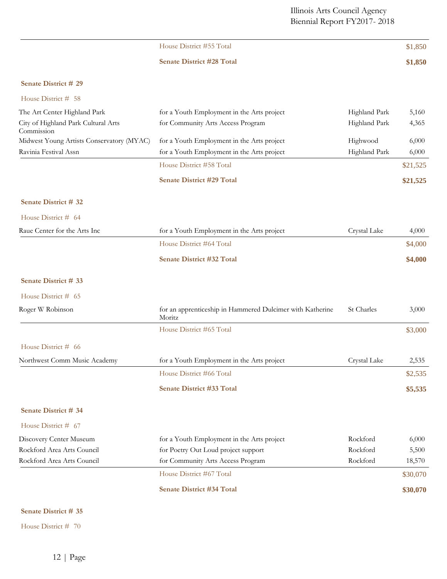|                                                   | House District #55 Total                                            |               | \$1,850  |
|---------------------------------------------------|---------------------------------------------------------------------|---------------|----------|
|                                                   | <b>Senate District #28 Total</b>                                    |               | \$1,850  |
| Senate District # 29                              |                                                                     |               |          |
| House District # 58                               |                                                                     |               |          |
| The Art Center Highland Park                      | for a Youth Employment in the Arts project                          | Highland Park | 5,160    |
| City of Highland Park Cultural Arts<br>Commission | for Community Arts Access Program                                   | Highland Park | 4,365    |
| Midwest Young Artists Conservatory (MYAC)         | for a Youth Employment in the Arts project                          | Highwood      | 6,000    |
| Ravinia Festival Assn                             | for a Youth Employment in the Arts project                          | Highland Park | 6,000    |
|                                                   | House District #58 Total                                            |               | \$21,525 |
|                                                   | <b>Senate District #29 Total</b>                                    |               | \$21,525 |
| Senate District # 32                              |                                                                     |               |          |
| House District # 64                               |                                                                     |               |          |
| Raue Center for the Arts Inc                      | for a Youth Employment in the Arts project                          | Crystal Lake  | 4,000    |
|                                                   | House District #64 Total                                            |               | \$4,000  |
|                                                   | <b>Senate District #32 Total</b>                                    |               | \$4,000  |
| Senate District # 33                              |                                                                     |               |          |
| House District # 65                               |                                                                     |               |          |
| Roger W Robinson                                  | for an apprenticeship in Hammered Dulcimer with Katherine<br>Moritz | St Charles    | 3,000    |
|                                                   | House District #65 Total                                            |               | \$3,000  |
| House District # 66                               |                                                                     |               |          |
| Northwest Comm Music Academy                      | for a Youth Employment in the Arts project                          | Crystal Lake  | 2,535    |
|                                                   | House District #66 Total                                            |               | \$2,535  |
|                                                   | <b>Senate District #33 Total</b>                                    |               | \$5,535  |
| Senate District # 34                              |                                                                     |               |          |
| House District # 67                               |                                                                     |               |          |
| Discovery Center Museum                           | for a Youth Employment in the Arts project                          | Rockford      | 6,000    |
| Rockford Area Arts Council                        | for Poetry Out Loud project support                                 | Rockford      | 5,500    |
| Rockford Area Arts Council                        | for Community Arts Access Program                                   | Rockford      | 18,570   |
|                                                   | House District #67 Total                                            |               | \$30,070 |
|                                                   | <b>Senate District #34 Total</b>                                    |               | \$30,070 |

## **Senate District # 35**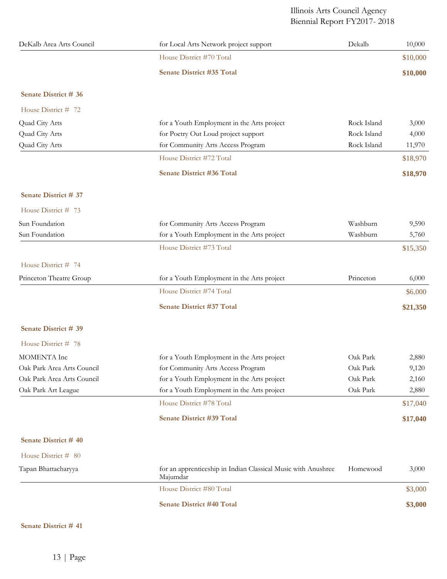| DeKalb Area Arts Council   | for Local Arts Network project support                                    | Dekalb      | 10,000   |
|----------------------------|---------------------------------------------------------------------------|-------------|----------|
|                            | House District #70 Total                                                  |             | \$10,000 |
|                            | Senate District #35 Total                                                 |             | \$10,000 |
| Senate District # 36       |                                                                           |             |          |
| House District # 72        |                                                                           |             |          |
| Quad City Arts             | for a Youth Employment in the Arts project                                | Rock Island | 3,000    |
| Quad City Arts             | for Poetry Out Loud project support                                       | Rock Island | 4,000    |
| Quad City Arts             | for Community Arts Access Program                                         | Rock Island | 11,970   |
|                            | House District #72 Total                                                  |             | \$18,970 |
|                            | Senate District #36 Total                                                 |             | \$18,970 |
| Senate District # 37       |                                                                           |             |          |
| House District # 73        |                                                                           |             |          |
| Sun Foundation             | for Community Arts Access Program                                         | Washburn    | 9,590    |
| Sun Foundation             | for a Youth Employment in the Arts project                                | Washburn    | 5,760    |
|                            | House District #73 Total                                                  |             | \$15,350 |
| House District # 74        |                                                                           |             |          |
| Princeton Theatre Group    | for a Youth Employment in the Arts project                                | Princeton   | 6,000    |
|                            | House District #74 Total                                                  |             | \$6,000  |
|                            | Senate District #37 Total                                                 |             | \$21,350 |
| Senate District # 39       |                                                                           |             |          |
| House District # 78        |                                                                           |             |          |
| MOMENTA Inc                | for a Youth Employment in the Arts project                                | Oak Park    | 2,880    |
| Oak Park Area Arts Council | for Community Arts Access Program                                         | Oak Park    | 9,120    |
| Oak Park Area Arts Council | for a Youth Employment in the Arts project                                | Oak Park    | 2,160    |
| Oak Park Art League        | for a Youth Employment in the Arts project                                | Oak Park    | 2,880    |
|                            | House District #78 Total                                                  |             | \$17,040 |
|                            | Senate District #39 Total                                                 |             | \$17,040 |
| Senate District # 40       |                                                                           |             |          |
| House District # 80        |                                                                           |             |          |
| Tapan Bhattacharyya        | for an apprenticeship in Indian Classical Music with Anushree<br>Majumdar | Homewood    | 3,000    |
|                            | House District #80 Total                                                  |             | \$3,000  |
|                            | <b>Senate District #40 Total</b>                                          |             | \$3,000  |

## **Senate District # 41**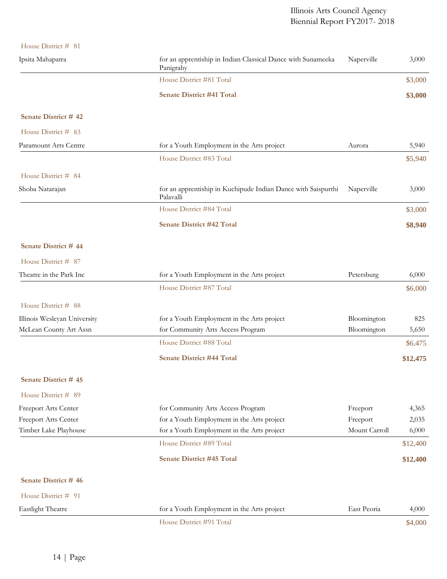| House District # 81          |                                                                            |               |          |
|------------------------------|----------------------------------------------------------------------------|---------------|----------|
| Ipsita Mahapatra             | for an apprentiship in Indian Classical Dance with Sunameeka<br>Panigrahy  | Naperville    | 3,000    |
|                              | House District #81 Total                                                   |               | \$3,000  |
|                              | <b>Senate District #41 Total</b>                                           |               | \$3,000  |
| Senate District #42          |                                                                            |               |          |
| House District # 83          |                                                                            |               |          |
| Paramount Arts Centre        | for a Youth Employment in the Arts project                                 | Aurora        | 5,940    |
|                              | House District #83 Total                                                   |               | \$5,940  |
| House District # 84          |                                                                            |               |          |
| Shoba Natarajan              | for an apprentiship in Kuchipude Indian Dance with Saispurthi<br>Palavalli | Naperville    | 3,000    |
|                              | House District #84 Total                                                   |               | \$3,000  |
|                              | <b>Senate District #42 Total</b>                                           |               | \$8,940  |
| Senate District #44          |                                                                            |               |          |
| House District # 87          |                                                                            |               |          |
| Theatre in the Park Inc      | for a Youth Employment in the Arts project                                 | Petersburg    | 6,000    |
|                              | House District #87 Total                                                   |               | \$6,000  |
| House District # 88          |                                                                            |               |          |
| Illinois Wesleyan University | for a Youth Employment in the Arts project                                 | Bloomington   | 825      |
| McLean County Art Assn       | for Community Arts Access Program                                          | Bloomington   | 5,650    |
|                              | House District #88 Total                                                   |               | \$6,475  |
|                              | <b>Senate District #44 Total</b>                                           |               | \$12,475 |
| Senate District # 45         |                                                                            |               |          |
| House District # 89          |                                                                            |               |          |
| <b>Freeport Arts Center</b>  | for Community Arts Access Program                                          | Freeport      | 4,365    |
| <b>Freeport Arts Center</b>  | for a Youth Employment in the Arts project                                 | Freeport      | 2,035    |
| Timber Lake Playhouse        | for a Youth Employment in the Arts project                                 | Mount Carroll | 6,000    |
|                              | House District #89 Total                                                   |               | \$12,400 |
|                              | <b>Senate District #45 Total</b>                                           |               | \$12,400 |
| Senate District #46          |                                                                            |               |          |
| House District # 91          |                                                                            |               |          |
| <b>Eastlight Theatre</b>     | for a Youth Employment in the Arts project                                 | East Peoria   | 4,000    |
|                              | House District #91 Total                                                   |               | \$4,000  |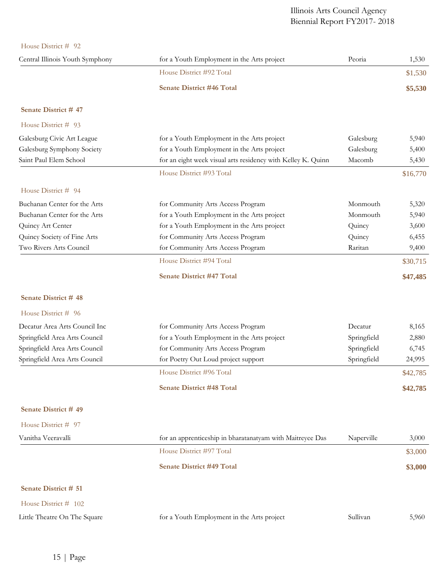| House District # 92             |                                                              |             |          |
|---------------------------------|--------------------------------------------------------------|-------------|----------|
| Central Illinois Youth Symphony | for a Youth Employment in the Arts project                   | Peoria      | 1,530    |
|                                 | House District #92 Total                                     |             | \$1,530  |
|                                 | <b>Senate District #46 Total</b>                             |             | \$5,530  |
| Senate District #47             |                                                              |             |          |
| House District # 93             |                                                              |             |          |
| Galesburg Civic Art League      | for a Youth Employment in the Arts project                   | Galesburg   | 5,940    |
| Galesburg Symphony Society      | for a Youth Employment in the Arts project                   | Galesburg   | 5,400    |
| Saint Paul Elem School          | for an eight week visual arts residency with Kelley K. Quinn | Macomb      | 5,430    |
|                                 | House District #93 Total                                     |             | \$16,770 |
| House District # 94             |                                                              |             |          |
| Buchanan Center for the Arts    | for Community Arts Access Program                            | Monmouth    | 5,320    |
| Buchanan Center for the Arts    | for a Youth Employment in the Arts project                   | Monmouth    | 5,940    |
| Quincy Art Center               | for a Youth Employment in the Arts project                   | Quincy      | 3,600    |
| Quincy Society of Fine Arts     | for Community Arts Access Program                            | Quincy      | 6,455    |
| Two Rivers Arts Council         | for Community Arts Access Program                            | Raritan     | 9,400    |
|                                 | House District #94 Total                                     |             | \$30,715 |
|                                 | <b>Senate District #47 Total</b>                             |             | \$47,485 |
| <b>Senate District #48</b>      |                                                              |             |          |
| House District # 96             |                                                              |             |          |
| Decatur Area Arts Council Inc   | for Community Arts Access Program                            | Decatur     | 8,165    |
| Springfield Area Arts Council   | for a Youth Employment in the Arts project                   | Springfield | 2,880    |
| Springfield Area Arts Council   | for Community Arts Access Program                            | Springfield | 6,745    |
| Springfield Area Arts Council   | for Poetry Out Loud project support                          | Springfield | 24,995   |
|                                 | House District #96 Total                                     |             | \$42,785 |
|                                 | <b>Senate District #48 Total</b>                             |             | \$42,785 |
| Senate District #49             |                                                              |             |          |
| House District # 97             |                                                              |             |          |
| Vanitha Veeravalli              | for an apprenticeship in bharatanatyam with Maitreyee Das    | Naperville  | 3,000    |
|                                 | House District #97 Total                                     |             | \$3,000  |
|                                 | <b>Senate District #49 Total</b>                             |             | \$3,000  |
| Senate District # 51            |                                                              |             |          |
| House District # 102            |                                                              |             |          |
| Little Theatre On The Square    | for a Youth Employment in the Arts project                   | Sullivan    | 5,960    |
|                                 |                                                              |             |          |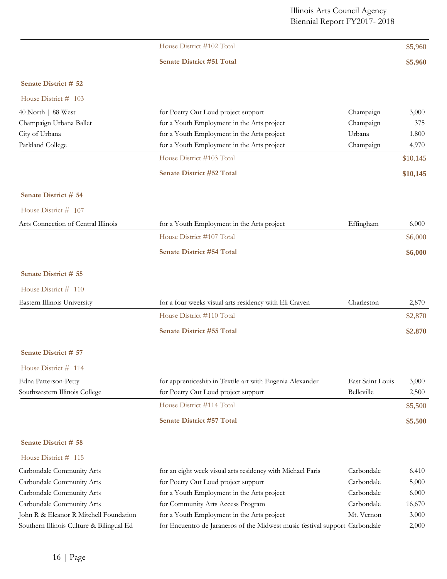|                                     | House District #102 Total                                |                  | \$5,960  |
|-------------------------------------|----------------------------------------------------------|------------------|----------|
|                                     | <b>Senate District #51 Total</b>                         |                  | \$5,960  |
| Senate District # 52                |                                                          |                  |          |
| House District # 103                |                                                          |                  |          |
| 40 North   88 West                  | for Poetry Out Loud project support                      | Champaign        | 3,000    |
| Champaign Urbana Ballet             | for a Youth Employment in the Arts project               | Champaign        | 375      |
| City of Urbana                      | for a Youth Employment in the Arts project               | Urbana           | 1,800    |
| Parkland College                    | for a Youth Employment in the Arts project               | Champaign        | 4,970    |
|                                     | House District #103 Total                                |                  | \$10,145 |
|                                     | <b>Senate District #52 Total</b>                         |                  | \$10,145 |
| Senate District # 54                |                                                          |                  |          |
| House District # 107                |                                                          |                  |          |
| Arts Connection of Central Illinois | for a Youth Employment in the Arts project               | Effingham        | 6,000    |
|                                     | House District #107 Total                                |                  | \$6,000  |
|                                     | <b>Senate District #54 Total</b>                         |                  | \$6,000  |
| Senate District # 55                |                                                          |                  |          |
| House District # 110                |                                                          |                  |          |
| Eastern Illinois University         | for a four weeks visual arts residency with Eli Craven   | Charleston       | 2,870    |
|                                     | House District #110 Total                                |                  | \$2,870  |
|                                     | <b>Senate District #55 Total</b>                         |                  | \$2,870  |
| Senate District # 57                |                                                          |                  |          |
| House District # 114                |                                                          |                  |          |
| Edna Patterson-Petty                | for apprenticeship in Textile art with Eugenia Alexander | East Saint Louis | 3,000    |
| Southwestern Illinois College       | for Poetry Out Loud project support                      | Belleville       | 2,500    |
|                                     | House District #114 Total                                |                  | \$5,500  |
|                                     | Senate District #57 Total                                |                  | \$5,500  |
| <b>Senate District # 58</b>         |                                                          |                  |          |

| Carbondale Community Arts                | for an eight week visual arts residency with Michael Faris                  | Carbondale | 6,410  |
|------------------------------------------|-----------------------------------------------------------------------------|------------|--------|
| Carbondale Community Arts                | for Poetry Out Loud project support                                         | Carbondale | 5,000  |
| Carbondale Community Arts                | for a Youth Employment in the Arts project                                  | Carbondale | 6,000  |
| Carbondale Community Arts                | for Community Arts Access Program                                           | Carbondale | 16,670 |
| John R & Eleanor R Mitchell Foundation   | for a Youth Employment in the Arts project                                  | Mt. Vernon | 3,000  |
| Southern Illinois Culture & Bilingual Ed | for Encuentro de Jaraneros of the Midwest music festival support Carbondale |            | 2,000  |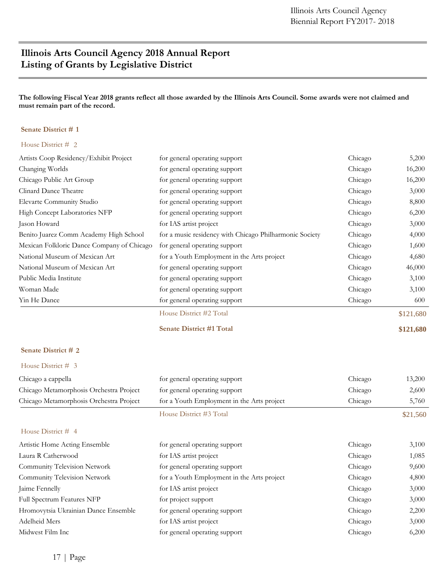# **Illinois Arts Council Agency 2018 Annual Report Listing of Grants by Legislative District**

**The following Fiscal Year 2018 grants reflect all those awarded by the Illinois Arts Council. Some awards were not claimed and must remain part of the record.**

### **Senate District # 1**

#### House District # 2

| Artists Coop Residency/Exhibit Project     | for general operating support                           | Chicago | 5,200     |
|--------------------------------------------|---------------------------------------------------------|---------|-----------|
| Changing Worlds                            | for general operating support                           | Chicago | 16,200    |
| Chicago Public Art Group                   | for general operating support                           | Chicago | 16,200    |
| Clinard Dance Theatre                      | for general operating support                           | Chicago | 3,000     |
| Elevarte Community Studio                  | for general operating support                           | Chicago | 8,800     |
| High Concept Laboratories NFP              | for general operating support                           | Chicago | 6,200     |
| Jason Howard                               | for IAS artist project                                  | Chicago | 3,000     |
| Benito Juarez Comm Academy High School     | for a music residency with Chicago Philharmonic Society | Chicago | 4,000     |
| Mexican Folkloric Dance Company of Chicago | for general operating support                           | Chicago | 1,600     |
| National Museum of Mexican Art             | for a Youth Employment in the Arts project              | Chicago | 4,680     |
| National Museum of Mexican Art             | for general operating support                           | Chicago | 46,000    |
| Public Media Institute                     | for general operating support                           | Chicago | 3,100     |
| Woman Made                                 | for general operating support                           | Chicago | 3,100     |
| Yin He Dance                               | for general operating support                           | Chicago | 600       |
|                                            | House District #2 Total                                 |         | \$121,680 |

**Senate District #1 Total \$121,680**

### **Senate District # 2**

| Chicago a cappella                      | for general operating support              | Chicago | 13,200   |
|-----------------------------------------|--------------------------------------------|---------|----------|
| Chicago Metamorphosis Orchestra Project | for general operating support              | Chicago | 2,600    |
| Chicago Metamorphosis Orchestra Project | for a Youth Employment in the Arts project | Chicago | 5,760    |
|                                         | House District #3 Total                    |         | \$21,560 |
| House District $#$ 4                    |                                            |         |          |
| Artistic Home Acting Ensemble           | for general operating support              | Chicago | 3,100    |
| Laura R Catherwood                      | for IAS artist project                     | Chicago | 1,085    |
| Community Television Network            | for general operating support              | Chicago | 9,600    |
| Community Television Network            | for a Youth Employment in the Arts project | Chicago | 4,800    |
| Jaime Fennelly                          | for IAS artist project                     | Chicago | 3,000    |
| Full Spectrum Features NFP              | for project support                        | Chicago | 3,000    |
| Hromovytsia Ukrainian Dance Ensemble    | for general operating support              | Chicago | 2,200    |
| Adelheid Mers                           | for IAS artist project                     | Chicago | 3,000    |
| Midwest Film Inc                        | for general operating support              | Chicago | 6,200    |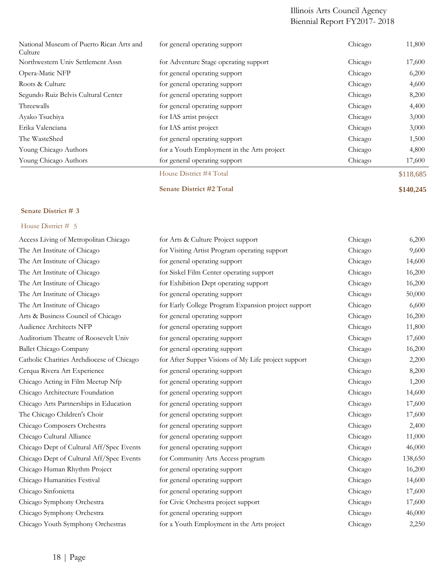| National Museum of Puerto Rican Arts and<br>Culture | for general operating support              | Chicago | 11,800    |
|-----------------------------------------------------|--------------------------------------------|---------|-----------|
| Northwestern Univ Settlement Assn                   | for Adventure Stage operating support      | Chicago | 17,600    |
| Opera-Matic NFP                                     | for general operating support              | Chicago | 6,200     |
| Roots & Culture                                     | for general operating support              | Chicago | 4,600     |
| Segundo Ruiz Belvis Cultural Center                 | for general operating support              | Chicago | 8,200     |
| Threewalls                                          | for general operating support              | Chicago | 4,400     |
| Ayako Tsuchiya                                      | for IAS artist project                     | Chicago | 3,000     |
| Erika Valenciana                                    | for IAS artist project                     | Chicago | 3,000     |
| The WasteShed                                       | for general operating support              | Chicago | 1,500     |
| Young Chicago Authors                               | for a Youth Employment in the Arts project | Chicago | 4,800     |
| Young Chicago Authors                               | for general operating support              | Chicago | 17,600    |
|                                                     | House District #4 Total                    |         | \$118,685 |

**Senate District #2 Total \$140,245**

## **Senate District # 3**

| Access Living of Metropolitan Chicago     | for Arts & Culture Project support                  | Chicago | 6,200   |
|-------------------------------------------|-----------------------------------------------------|---------|---------|
| The Art Institute of Chicago              | for Visiting Artist Program operating support       | Chicago | 9,600   |
| The Art Institute of Chicago              | for general operating support                       | Chicago | 14,600  |
| The Art Institute of Chicago              | for Siskel Film Center operating support            | Chicago | 16,200  |
| The Art Institute of Chicago              | for Exhibition Dept operating support               | Chicago | 16,200  |
| The Art Institute of Chicago              | for general operating support                       | Chicago | 50,000  |
| The Art Institute of Chicago              | for Early College Program Expansion project support | Chicago | 6,600   |
| Arts & Business Council of Chicago        | for general operating support                       | Chicago | 16,200  |
| Audience Architects NFP                   | for general operating support                       | Chicago | 11,800  |
| Auditorium Theatre of Roosevelt Univ      | for general operating support                       | Chicago | 17,600  |
| Ballet Chicago Company                    | for general operating support                       | Chicago | 16,200  |
| Catholic Charities Archdiocese of Chicago | for After Supper Visions of My Life project support | Chicago | 2,200   |
| Cerqua Rivera Art Experience              | for general operating support                       | Chicago | 8,200   |
| Chicago Acting in Film Meetup Nfp         | for general operating support                       | Chicago | 1,200   |
| Chicago Architecture Foundation           | for general operating support                       | Chicago | 14,600  |
| Chicago Arts Partnerships in Education    | for general operating support                       | Chicago | 17,600  |
| The Chicago Children's Choir              | for general operating support                       | Chicago | 17,600  |
| Chicago Composers Orchestra               | for general operating support                       | Chicago | 2,400   |
| Chicago Cultural Alliance                 | for general operating support                       | Chicago | 11,000  |
| Chicago Dept of Cultural Aff/Spec Events  | for general operating support                       | Chicago | 46,000  |
| Chicago Dept of Cultural Aff/Spec Events  | for Community Arts Access program                   | Chicago | 138,650 |
| Chicago Human Rhythm Project              | for general operating support                       | Chicago | 16,200  |
| Chicago Humanities Festival               | for general operating support                       | Chicago | 14,600  |
| Chicago Sinfonietta                       | for general operating support                       | Chicago | 17,600  |
| Chicago Symphony Orchestra                | for Civic Orchestra project support                 | Chicago | 17,600  |
| Chicago Symphony Orchestra                | for general operating support                       | Chicago | 46,000  |
| Chicago Youth Symphony Orchestras         | for a Youth Employment in the Arts project          | Chicago | 2,250   |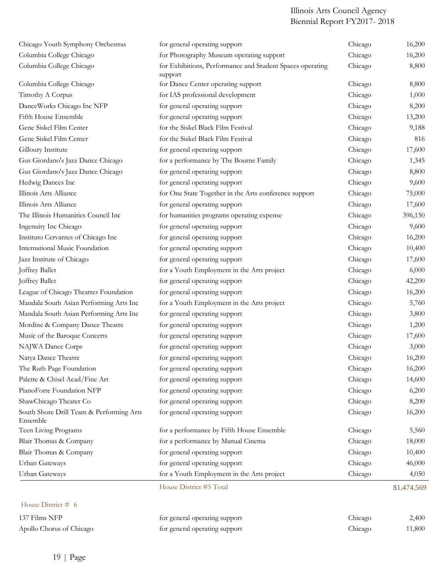| Chicago Youth Symphony Orchestras                    | for general operating support                                        | Chicago | 16,200      |
|------------------------------------------------------|----------------------------------------------------------------------|---------|-------------|
| Columbia College Chicago                             | for Photography Museum operating support                             | Chicago | 16,200      |
| Columbia College Chicago                             | for Exhibitions, Performance and Student Spaces operating<br>support | Chicago | 8,800       |
| Columbia College Chicago                             | for Dance Center operating support                                   | Chicago | 8,800       |
| Timothy A Corpus                                     | for IAS professional development                                     | Chicago | 1,000       |
| DanceWorks Chicago Inc NFP                           | for general operating support                                        | Chicago | 8,200       |
| Fifth House Ensemble                                 | for general operating support                                        | Chicago | 13,200      |
| Gene Siskel Film Center                              | for the Siskel Black Film Festival                                   | Chicago | 9,188       |
| Gene Siskel Film Center                              | for the Siskel Black Film Festival                                   | Chicago | 816         |
| Gilloury Institute                                   | for general operating support                                        | Chicago | 17,600      |
| Gus Giordano's Jazz Dance Chicago                    | for a performance by The Bourne Family                               | Chicago | 1,345       |
| Gus Giordano's Jazz Dance Chicago                    | for general operating support                                        | Chicago | 8,800       |
| Hedwig Dances Inc                                    | for general operating support                                        | Chicago | 9,600       |
| Illinois Arts Alliance                               | for One State Together in the Arts conference support                | Chicago | 75,000      |
| Illinois Arts Alliance                               | for general operating support                                        | Chicago | 17,600      |
| The Illinois Humanities Council Inc                  | for humanities programs operating expense                            | Chicago | 396,150     |
| Ingenuity Inc Chicago                                | for general operating support                                        | Chicago | 9,600       |
| Instituto Cervantes of Chicago Inc                   | for general operating support                                        | Chicago | 16,200      |
| International Music Foundation                       | for general operating support                                        | Chicago | 10,400      |
| Jazz Institute of Chicago                            | for general operating support                                        | Chicago | 17,600      |
| Joffrey Ballet                                       | for a Youth Employment in the Arts project                           | Chicago | 6,000       |
| Joffrey Ballet                                       | for general operating support                                        | Chicago | 42,200      |
| League of Chicago Theatres Foundation                | for general operating support                                        | Chicago | 16,200      |
| Mandala South Asian Performing Arts Inc              | for a Youth Employment in the Arts project                           | Chicago | 5,760       |
| Mandala South Asian Performing Arts Inc              | for general operating support                                        | Chicago | 3,800       |
| Mordine & Company Dance Theatre                      | for general operating support                                        | Chicago | 1,200       |
| Music of the Baroque Concerts                        | for general operating support                                        | Chicago | 17,600      |
| NAJWA Dance Corps                                    | for general operating support                                        | Chicago | 3,000       |
| Natya Dance Theatre                                  | for general operating support                                        | Chicago | 16,200      |
| The Ruth Page Foundation                             | for general operating support                                        | Chicago | 16,200      |
| Palette & Chisel Acad/Fine Art                       | for general operating support                                        | Chicago | 14,600      |
| PianoForte Foundation NFP                            | for general operating support                                        | Chicago | 6,200       |
| ShawChicago Theater Co                               | for general operating support                                        | Chicago | 8,200       |
| South Shore Drill Team & Performing Arts<br>Ensemble | for general operating support                                        | Chicago | 16,200      |
| Teen Living Programs                                 | for a performance by Fifth House Ensemble                            | Chicago | 5,560       |
| Blair Thomas & Company                               | for a performance by Manual Cinema                                   | Chicago | 18,000      |
| Blair Thomas & Company                               | for general operating support                                        | Chicago | 10,400      |
| Urban Gateways                                       | for general operating support                                        | Chicago | 46,000      |
| Urban Gateways                                       | for a Youth Employment in the Arts project                           | Chicago | 4,050       |
|                                                      | House District #5 Total                                              |         | \$1,474,569 |

| 137 Films NFP            | for general operating support | Chicago | 2,400  |
|--------------------------|-------------------------------|---------|--------|
| Apollo Chorus of Chicago | for general operating support | Chicago | 11,800 |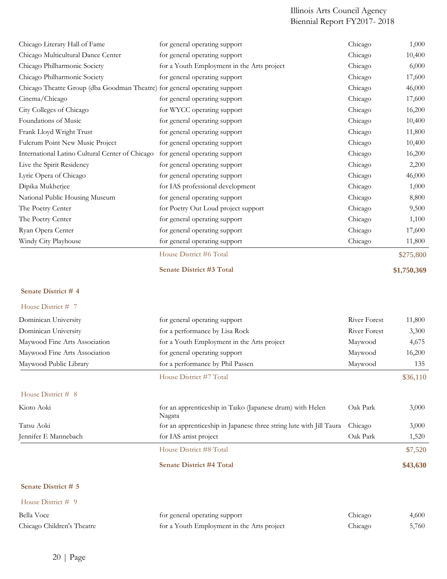| Chicago Literary Hall of Fame                                             | for general operating support                                                 | Chicago      | 1,000       |
|---------------------------------------------------------------------------|-------------------------------------------------------------------------------|--------------|-------------|
| Chicago Multicultural Dance Center                                        | for general operating support                                                 | Chicago      | 10,400      |
| Chicago Philharmonic Society                                              | for a Youth Employment in the Arts project                                    | Chicago      | 6,000       |
| Chicago Philharmonic Society                                              | for general operating support                                                 | Chicago      | 17,600      |
| Chicago Theatre Group (dba Goodman Theatre) for general operating support |                                                                               | Chicago      | 46,000      |
| Cinema/Chicago                                                            | for general operating support                                                 | Chicago      | 17,600      |
| City Colleges of Chicago                                                  | for WYCC operating support                                                    | Chicago      | 16,200      |
| Foundations of Music                                                      | for general operating support                                                 | Chicago      | 10,400      |
| Frank Lloyd Wright Trust                                                  | for general operating support                                                 | Chicago      | 11,800      |
| Fulcrum Point New Music Project                                           | for general operating support                                                 | Chicago      | 10,400      |
| International Latino Cultural Center of Chicago                           | for general operating support                                                 | Chicago      | 16,200      |
| Live the Spirit Residency                                                 | for general operating support                                                 | Chicago      | 2,200       |
| Lyric Opera of Chicago                                                    | for general operating support                                                 | Chicago      | 46,000      |
| Dipika Mukherjee                                                          | for IAS professional development                                              | Chicago      | 1,000       |
| National Public Housing Museum                                            | for general operating support                                                 | Chicago      | 8,800       |
| The Poetry Center                                                         | for Poetry Out Loud project support                                           | Chicago      | 9,500       |
| The Poetry Center                                                         | for general operating support                                                 | Chicago      | 1,100       |
| Ryan Opera Center                                                         | for general operating support                                                 | Chicago      | 17,600      |
| Windy City Playhouse                                                      | for general operating support                                                 | Chicago      | 11,800      |
|                                                                           | House District #6 Total                                                       |              | \$275,800   |
|                                                                           | <b>Senate District #3 Total</b>                                               |              | \$1,750,369 |
| Senate District #4                                                        |                                                                               |              |             |
|                                                                           |                                                                               |              |             |
| House District # 7                                                        |                                                                               |              |             |
| Dominican University                                                      | for general operating support                                                 | River Forest | 11,800      |
| Dominican University                                                      | for a performance by Lisa Rock                                                | River Forest | 3,300       |
| Maywood Fine Arts Association                                             | for a Youth Employment in the Arts project                                    | Maywood      | 4,675       |
| Maywood Fine Arts Association                                             | for general operating support                                                 | Maywood      | 16,200      |
| Maywood Public Library                                                    | for a performance by Phil Passen                                              | Maywood      | 135         |
|                                                                           | House District #7 Total                                                       |              | \$36,110    |
| House District # 8                                                        |                                                                               |              |             |
| Kioto Aoki                                                                | for an apprenticeship in Taiko (Japanese drum) with Helen                     | Oak Park     | 3,000       |
| Tatsu Aoki                                                                | Nagata<br>for an apprenticeship in Japanese three string lute with Jill Taura | Chicago      | 3,000       |
| Jennifer E Mannebach                                                      | for IAS artist project                                                        | Oak Park     | 1,520       |
|                                                                           | House District #8 Total                                                       |              | \$7,520     |
|                                                                           | <b>Senate District #4 Total</b>                                               |              | \$43,630    |
| Senate District # 5                                                       |                                                                               |              |             |
| House District # 9                                                        |                                                                               |              |             |
| Bella Voce                                                                | for general operating support                                                 | Chicago      | 4,600       |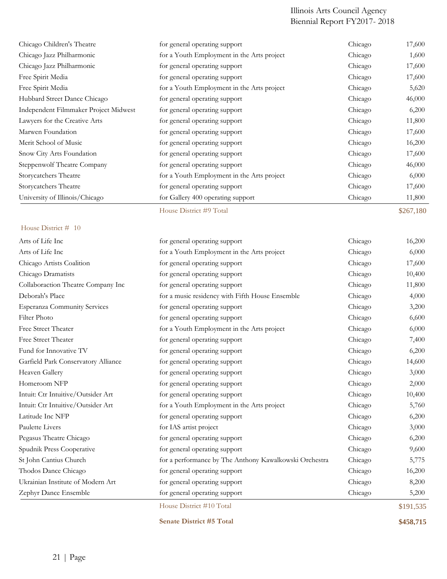| Chicago Jazz Philharmonic             | for a Youth Employment in the Arts project | Chicago | 1,600     |
|---------------------------------------|--------------------------------------------|---------|-----------|
| Chicago Jazz Philharmonic             | for general operating support              | Chicago | 17,600    |
| Free Spirit Media                     | for general operating support              | Chicago | 17,600    |
| Free Spirit Media                     | for a Youth Employment in the Arts project | Chicago | 5,620     |
| Hubbard Street Dance Chicago          | for general operating support              | Chicago | 46,000    |
| Independent Filmmaker Project Midwest | for general operating support              | Chicago | 6,200     |
| Lawyers for the Creative Arts         | for general operating support              | Chicago | 11,800    |
| Marwen Foundation                     | for general operating support              | Chicago | 17,600    |
| Merit School of Music                 | for general operating support              | Chicago | 16,200    |
| Snow City Arts Foundation             | for general operating support              | Chicago | 17,600    |
| Steppenwolf Theatre Company           | for general operating support              | Chicago | 46,000    |
| Storycatchers Theatre                 | for a Youth Employment in the Arts project | Chicago | 6,000     |
| Storycatchers Theatre                 | for general operating support              | Chicago | 17,600    |
| University of Illinois/Chicago        | for Gallery 400 operating support          | Chicago | 11,800    |
|                                       | House District #9 Total                    |         | \$267,180 |

### House District # 10

|                                     | House District #10 Total                               |         | \$191,535 |
|-------------------------------------|--------------------------------------------------------|---------|-----------|
| Zephyr Dance Ensemble               | for general operating support                          | Chicago | 5,200     |
| Ukrainian Institute of Modern Art   | for general operating support                          | Chicago | 8,200     |
| Thodos Dance Chicago                | for general operating support                          | Chicago | 16,200    |
| St John Cantius Church              | for a performance by The Anthony Kawalkowski Orchestra | Chicago | 5,775     |
| Spudnik Press Cooperative           | for general operating support                          | Chicago | 9,600     |
| Pegasus Theatre Chicago             | for general operating support                          | Chicago | 6,200     |
| Paulette Livers                     | for IAS artist project                                 | Chicago | 3,000     |
| Latitude Inc NFP                    | for general operating support                          | Chicago | 6,200     |
| Intuit: Ctr Intuitive/Outsider Art  | for a Youth Employment in the Arts project             | Chicago | 5,760     |
| Intuit: Ctr Intuitive/Outsider Art  | for general operating support                          | Chicago | 10,400    |
| Homeroom NFP                        | for general operating support                          | Chicago | 2,000     |
| Heaven Gallery                      | for general operating support                          | Chicago | 3,000     |
| Garfield Park Conservatory Alliance | for general operating support                          | Chicago | 14,600    |
| Fund for Innovative TV              | for general operating support                          | Chicago | 6,200     |
| Free Street Theater                 | for general operating support                          | Chicago | 7,400     |
| Free Street Theater                 | for a Youth Employment in the Arts project             | Chicago | 6,000     |
| <b>Filter Photo</b>                 | for general operating support                          | Chicago | 6,600     |
| <b>Esperanza Community Services</b> | for general operating support                          | Chicago | 3,200     |
| Deborah's Place                     | for a music residency with Fifth House Ensemble        | Chicago | 4,000     |
| Collaboraction Theatre Company Inc  | for general operating support                          | Chicago | 11,800    |
| Chicago Dramatists                  | for general operating support                          | Chicago | 10,400    |
| Chicago Artists Coalition           | for general operating support                          | Chicago | 17,600    |
| Arts of Life Inc                    | for a Youth Employment in the Arts project             | Chicago | 6,000     |
| Arts of Life Inc                    | for general operating support                          | Chicago | 16,200    |

**Senate District #5 Total \$458,715**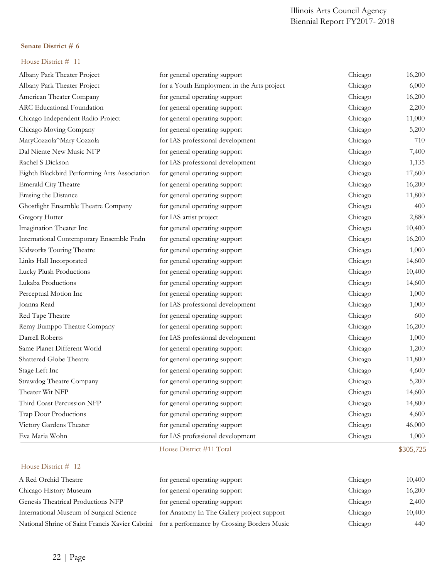## **Senate District # 6**

| Albany Park Theater Project                  | for general operating support              | Chicago | 16,200    |
|----------------------------------------------|--------------------------------------------|---------|-----------|
| Albany Park Theater Project                  | for a Youth Employment in the Arts project | Chicago | 6,000     |
| American Theater Company                     | for general operating support              | Chicago | 16,200    |
| ARC Educational Foundation                   | for general operating support              | Chicago | 2,200     |
| Chicago Independent Radio Project            | for general operating support              | Chicago | 11,000    |
| Chicago Moving Company                       | for general operating support              | Chicago | 5,200     |
| MaryCozzola^Mary Cozzola                     | for IAS professional development           | Chicago | 710       |
| Dal Niente New Music NFP                     | for general operating support              | Chicago | 7,400     |
| Rachel S Dickson                             | for IAS professional development           | Chicago | 1,135     |
| Eighth Blackbird Performing Arts Association | for general operating support              | Chicago | 17,600    |
| <b>Emerald City Theatre</b>                  | for general operating support              | Chicago | 16,200    |
| Erasing the Distance                         | for general operating support              | Chicago | 11,800    |
| Ghostlight Ensemble Theatre Company          | for general operating support              | Chicago | 400       |
| Gregory Hutter                               | for IAS artist project                     | Chicago | 2,880     |
| Imagination Theater Inc                      | for general operating support              | Chicago | 10,400    |
| International Contemporary Ensemble Fndn     | for general operating support              | Chicago | 16,200    |
| Kidworks Touring Theatre                     | for general operating support              | Chicago | 1,000     |
| Links Hall Incorporated                      | for general operating support              | Chicago | 14,600    |
| Lucky Plush Productions                      | for general operating support              | Chicago | 10,400    |
| Lukaba Productions                           | for general operating support              | Chicago | 14,600    |
| Perceptual Motion Inc                        | for general operating support              | Chicago | 1,000     |
| Joanna Read                                  | for IAS professional development           | Chicago | 1,000     |
| Red Tape Theatre                             | for general operating support              | Chicago | 600       |
| Remy Bumppo Theatre Company                  | for general operating support              | Chicago | 16,200    |
| Darrell Roberts                              | for IAS professional development           | Chicago | 1,000     |
| Same Planet Different World                  | for general operating support              | Chicago | 1,200     |
| Shattered Globe Theatre                      | for general operating support              | Chicago | 11,800    |
| Stage Left Inc                               | for general operating support              | Chicago | 4,600     |
| Strawdog Theatre Company                     | for general operating support              | Chicago | 5,200     |
| Theater Wit NFP                              | for general operating support              | Chicago | 14,600    |
| Third Coast Percussion NFP                   | for general operating support              | Chicago | 14,800    |
| Trap Door Productions                        | for general operating support              | Chicago | 4,600     |
| Victory Gardens Theater                      | for general operating support              | Chicago | 46,000    |
| Eva Maria Wohn                               | for IAS professional development           | Chicago | 1,000     |
|                                              | House District #11 Total                   |         | \$305,725 |
| House District # 12                          |                                            |         |           |
|                                              |                                            |         |           |

| A Red Orchid Theatre                                                                        | for general operating support              | Chicago | 10,400 |
|---------------------------------------------------------------------------------------------|--------------------------------------------|---------|--------|
| Chicago History Museum                                                                      | for general operating support              | Chicago | 16,200 |
| Genesis Theatrical Productions NFP                                                          | for general operating support              | Chicago | 2,400  |
| International Museum of Surgical Science                                                    | for Anatomy In The Gallery project support | Chicago | 10,400 |
| National Shrine of Saint Francis Xavier Cabrini for a performance by Crossing Borders Music |                                            | Chicago | 440    |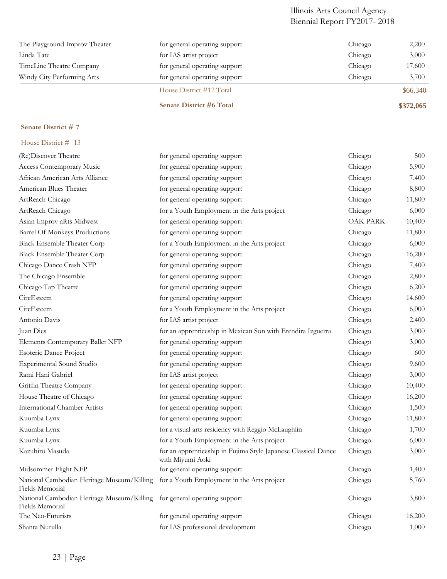| The Playground Improv Theater | for general operating support   | Chicago | 2,200     |
|-------------------------------|---------------------------------|---------|-----------|
| Linda Tate                    | for IAS artist project          | Chicago | 3,000     |
| TimeLine Theatre Company      | for general operating support   | Chicago | 17,600    |
| Windy City Performing Arts    | for general operating support   | Chicago | 3,700     |
|                               | House District #12 Total        |         | \$66,340  |
|                               | <b>Senate District #6 Total</b> |         | \$372,065 |

## **Senate District # 7**

| (Re)Discover Theatre                                                                                     | for general operating support                                                      | Chicago         | 500    |
|----------------------------------------------------------------------------------------------------------|------------------------------------------------------------------------------------|-----------------|--------|
| Access Contemporary Music                                                                                | for general operating support                                                      | Chicago         | 5,900  |
| African American Arts Alliance                                                                           | for general operating support                                                      | Chicago         | 7,400  |
| American Blues Theater                                                                                   | for general operating support                                                      | Chicago         | 8,800  |
| ArtReach Chicago                                                                                         | for general operating support                                                      | Chicago         | 11,800 |
| ArtReach Chicago                                                                                         | for a Youth Employment in the Arts project                                         | Chicago         | 6,000  |
| Asian Improv aRts Midwest                                                                                | for general operating support                                                      | <b>OAK PARK</b> | 10,400 |
| Barrel Of Monkeys Productions                                                                            | for general operating support                                                      | Chicago         | 11,800 |
| <b>Black Ensemble Theater Corp</b>                                                                       | for a Youth Employment in the Arts project                                         | Chicago         | 6,000  |
| <b>Black Ensemble Theater Corp</b>                                                                       | for general operating support                                                      | Chicago         | 16,200 |
| Chicago Dance Crash NFP                                                                                  | for general operating support                                                      | Chicago         | 7,400  |
| The Chicago Ensemble                                                                                     | for general operating support                                                      | Chicago         | 2,800  |
| Chicago Tap Theatre                                                                                      | for general operating support                                                      | Chicago         | 6,200  |
| CircEsteem                                                                                               | for general operating support                                                      | Chicago         | 14,600 |
| CircEsteem                                                                                               | for a Youth Employment in the Arts project                                         | Chicago         | 6,000  |
| Antonio Davis                                                                                            | for IAS artist project                                                             | Chicago         | 2,400  |
| Juan Dies                                                                                                | for an apprenticeship in Mexican Son with Erendira Izguerra                        | Chicago         | 3,000  |
| Elements Contemporary Ballet NFP                                                                         | for general operating support                                                      | Chicago         | 3,000  |
| Esoteric Dance Project                                                                                   | for general operating support                                                      | Chicago         | 600    |
| <b>Experimental Sound Studio</b>                                                                         | for general operating support                                                      | Chicago         | 9,600  |
| Rami Hani Gabriel                                                                                        | for IAS artist project                                                             | Chicago         | 3,000  |
| Griffin Theatre Company                                                                                  | for general operating support                                                      | Chicago         | 10,400 |
| House Theatre of Chicago                                                                                 | for general operating support                                                      | Chicago         | 16,200 |
| <b>International Chamber Artists</b>                                                                     | for general operating support                                                      | Chicago         | 1,500  |
| Kuumba Lynx                                                                                              | for general operating support                                                      | Chicago         | 11,800 |
| Kuumba Lynx                                                                                              | for a visual arts residency with Reggio McLaughlin                                 | Chicago         | 1,700  |
| Kuumba Lynx                                                                                              | for a Youth Employment in the Arts project                                         | Chicago         | 6,000  |
| Kazuhiro Masuda                                                                                          | for an apprenticeship in Fujima Style Japanese Classical Dance<br>with Miyumi Aoki | Chicago         | 3,000  |
| Midsommer Flight NFP                                                                                     | for general operating support                                                      | Chicago         | 1,400  |
| National Cambodian Heritage Museum/Killing for a Youth Employment in the Arts project<br>Fields Memorial |                                                                                    | Chicago         | 5,760  |
| National Cambodian Heritage Museum/Killing for general operating support<br>Fields Memorial              |                                                                                    | Chicago         | 3,800  |
| The Neo-Futurists                                                                                        | for general operating support                                                      | Chicago         | 16,200 |
| Shanta Nurulla                                                                                           | for IAS professional development                                                   | Chicago         | 1,000  |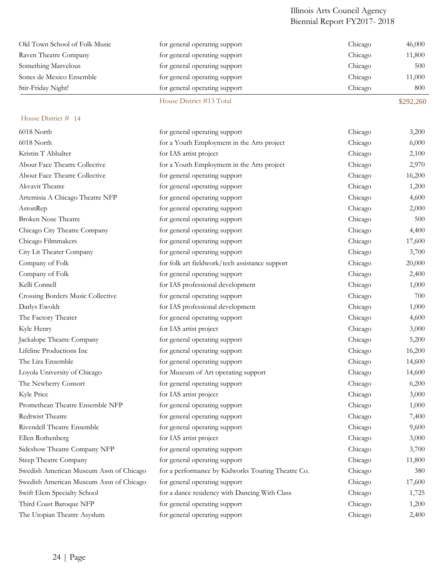| Old Town School of Folk Music           | for general operating support                     | Chicago | 46,000    |
|-----------------------------------------|---------------------------------------------------|---------|-----------|
| Raven Theatre Company                   | for general operating support                     | Chicago | 11,800    |
| Something Marvelous                     | for general operating support                     | Chicago | 500       |
| Sones de Mexico Ensemble                | for general operating support                     | Chicago | 11,000    |
| Stir-Friday Night!                      | for general operating support                     | Chicago | 800       |
|                                         | House District #13 Total                          |         | \$292,260 |
| House District # 14                     |                                                   |         |           |
| 6018 North                              | for general operating support                     | Chicago | 3,200     |
| 6018 North                              | for a Youth Employment in the Arts project        | Chicago | 6,000     |
| Kristin T Abhalter                      | for IAS artist project                            | Chicago | 2,100     |
| About Face Theatre Collective           | for a Youth Employment in the Arts project        | Chicago | 2,970     |
| About Face Theatre Collective           | for general operating support                     | Chicago | 16,200    |
| Akvavit Theatre                         | for general operating support                     | Chicago | 1,200     |
| Artemisia A Chicago Theatre NFP         | for general operating support                     | Chicago | 4,600     |
| AstonRep                                | for general operating support                     | Chicago | 2,000     |
| <b>Broken Nose Theatre</b>              | for general operating support                     | Chicago | 500       |
| Chicago City Theatre Company            | for general operating support                     | Chicago | 4,400     |
| Chicago Filmmakers                      | for general operating support                     | Chicago | 17,600    |
| City Lit Theater Company                | for general operating support                     | Chicago | 3,700     |
| Company of Folk                         | for folk art fieldwork/tech assistance support    | Chicago | 20,000    |
| Company of Folk                         | for general operating support                     | Chicago | 2,400     |
| Kelli Connell                           | for IAS professional development                  | Chicago | 1,000     |
| Crossing Borders Music Collective       | for general operating support                     | Chicago | 700       |
| Darlys Ewoldt                           | for IAS professional development                  | Chicago | 1,000     |
| The Factory Theater                     | for general operating support                     | Chicago | 4,600     |
| Kyle Henry                              | for IAS artist project                            | Chicago | 3,000     |
| Jackalope Theatre Company               | for general operating support                     | Chicago | 5,200     |
| Lifeline Productions Inc                | for general operating support                     | Chicago | 16,200    |
| The Lira Ensemble                       | for general operating support                     | Chicago | 14,600    |
| Loyola University of Chicago            | for Museum of Art operating support               | Chicago | 14,600    |
| The Newberry Consort                    | for general operating support                     | Chicago | 6,200     |
| Kyle Price                              | for IAS artist project                            | Chicago | 3,000     |
| Promethean Theatre Ensemble NFP         | for general operating support                     | Chicago | 1,000     |
| Redtwist Theatre                        | for general operating support                     | Chicago | 7,400     |
| Rivendell Theatre Ensemble              | for general operating support                     | Chicago | 9,600     |
| Ellen Rothenberg                        | for IAS artist project                            | Chicago | 3,000     |
| Sideshow Theatre Company NFP            | for general operating support                     | Chicago | 3,700     |
| Steep Theatre Company                   | for general operating support                     | Chicago | 11,800    |
| Swedish American Museum Assn of Chicago | for a performance by Kidworks Touring Theatre Co. | Chicago | 380       |
| Swedish American Museum Assn of Chicago | for general operating support                     | Chicago | 17,600    |
| Swift Elem Specialty School             | for a dance residency with Dancing With Class     | Chicago | 1,725     |
| Third Coast Baroque NFP                 | for general operating support                     | Chicago | 1,200     |
| The Utopian Theatre Asyslum             | for general operating support                     | Chicago | 2,400     |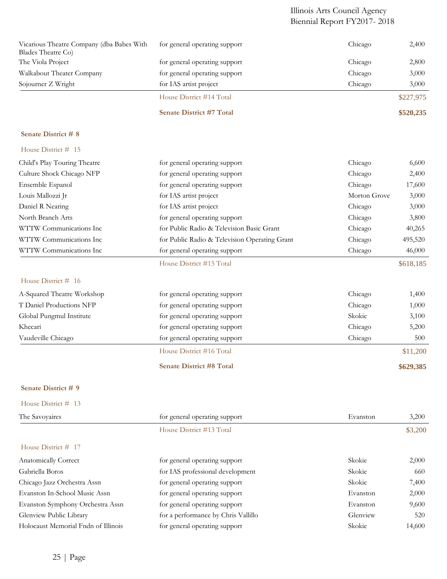|                                                                 | <b>Senate District #7 Total</b> |         | \$520,235 |
|-----------------------------------------------------------------|---------------------------------|---------|-----------|
|                                                                 | House District #14 Total        |         | \$227,975 |
| Sojourner Z Wright                                              | for IAS artist project          | Chicago | 3,000     |
| Walkabout Theater Company                                       | for general operating support   | Chicago | 3,000     |
| The Viola Project                                               | for general operating support   | Chicago | 2,800     |
| Vicarious Theatre Company (dba Babes With<br>Blades Theatre Co. | for general operating support   | Chicago | 2,400     |

## **Senate District # 8**

|  | House District # 15 |  |  |  |
|--|---------------------|--|--|--|
|--|---------------------|--|--|--|

| Child's Play Touring Theatre | for general operating support                 | Chicago      | 6,600     |
|------------------------------|-----------------------------------------------|--------------|-----------|
| Culture Shock Chicago NFP    | for general operating support                 | Chicago      | 2,400     |
| Ensemble Espanol             | for general operating support                 | Chicago      | 17,600    |
| Louis Mallozzi Jr            | for IAS artist project                        | Morton Grove | 3,000     |
| Daniel R Nearing             | for IAS artist project                        | Chicago      | 3,000     |
| North Branch Arts            | for general operating support                 | Chicago      | 3,800     |
| WTTW Communications Inc      | for Public Radio & Television Basic Grant     | Chicago      | 40,265    |
| WTTW Communications Inc      | for Public Radio & Television Operating Grant | Chicago      | 495,520   |
| WTTW Communications Inc      | for general operating support                 | Chicago      | 46,000    |
|                              | House District #15 Total                      |              | \$618.185 |

## House District # 16

|                            | <b>Senate District #8 Total</b> |         | \$629,385 |
|----------------------------|---------------------------------|---------|-----------|
|                            | House District #16 Total        |         | \$11,200  |
| Vaudeville Chicago         | for general operating support   | Chicago | 500       |
| Khecari                    | for general operating support   | Chicago | 5,200     |
| Global Pungmul Institute   | for general operating support   | Skokie  | 3,100     |
| T Daniel Productions NFP   | for general operating support   | Chicago | 1,000     |
| A-Squared Theatre Workshop | for general operating support   | Chicago | 1,400     |
|                            |                                 |         |           |

## **Senate District # 9**

| House District # 13 |  |
|---------------------|--|
|---------------------|--|

| The Savoyaires                      | for general operating support       | Evanston | 3,200   |
|-------------------------------------|-------------------------------------|----------|---------|
|                                     | House District #13 Total            |          | \$3,200 |
| House District # 17                 |                                     |          |         |
| Anatomically Correct                | for general operating support       | Skokie   | 2,000   |
| Gabriella Boros                     | for IAS professional development    | Skokie   | 660     |
| Chicago Jazz Orchestra Assn         | for general operating support       | Skokie   | 7,400   |
| Evanston In-School Music Assn       | for general operating support       | Evanston | 2,000   |
| Evanston Symphony Orchestra Assn    | for general operating support       | Evanston | 9,600   |
| Glenview Public Library             | for a performance by Chris Vallillo | Glenview | 520     |
| Holocaust Memorial Fndn of Illinois | for general operating support       | Skokie   | 14,600  |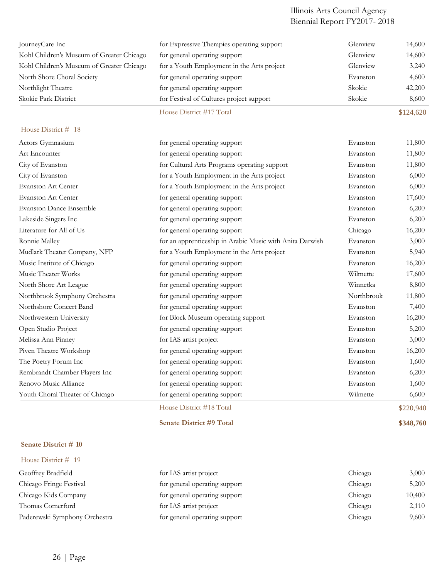| JourneyCare Inc                           | for Expressive Therapies operating support               | Glenview   | 14,600    |
|-------------------------------------------|----------------------------------------------------------|------------|-----------|
| Kohl Children's Museum of Greater Chicago | for general operating support                            | Glenview   | 14,600    |
| Kohl Children's Museum of Greater Chicago | for a Youth Employment in the Arts project               | Glenview   | 3,240     |
| North Shore Choral Society                | for general operating support                            | Evanston   | 4,600     |
| Northlight Theatre                        | for general operating support                            | Skokie     | 42,200    |
| Skokie Park District                      | for Festival of Cultures project support                 | Skokie     | 8,600     |
|                                           | House District #17 Total                                 |            | \$124,620 |
| House District # 18                       |                                                          |            |           |
| Actors Gymnasium                          | for general operating support                            | Evanston   | 11,800    |
| Art Encounter                             | for general operating support                            | Evanston   | 11,800    |
| City of Evanston                          | for Cultural Arts Programs operating support             | Evanston   | 11,800    |
| City of Evanston                          | for a Youth Employment in the Arts project               | Evanston   | 6,000     |
| <b>Evanston Art Center</b>                | for a Youth Employment in the Arts project               | Evanston   | 6,000     |
| <b>Evanston Art Center</b>                | for general operating support                            | Evanston   | 17,600    |
| <b>Evanston Dance Ensemble</b>            | for general operating support                            | Evanston   | 6,200     |
| Lakeside Singers Inc                      | for general operating support                            | Evanston   | 6,200     |
| Literature for All of Us                  | for general operating support                            | Chicago    | 16,200    |
| Ronnie Malley                             | for an apprenticeship in Arabic Music with Anita Darwish | Evanston   | 3,000     |
| Mudlark Theater Company, NFP              | for a Youth Employment in the Arts project               | Evanston   | 5,940     |
| Music Institute of Chicago                | for general operating support                            | Evanston   | 16,200    |
| Music Theater Works                       | for general operating support                            | Wilmette   | 17,600    |
| North Shore Art League                    | for general operating support                            | Winnetka   | 8,800     |
| Northbrook Symphony Orchestra             | for general operating support                            | Northbrook | 11,800    |
| Northshore Concert Band                   | for general operating support                            | Evanston   | 7,400     |
| Northwestern University                   | for Block Museum operating support                       | Evanston   | 16,200    |
| Open Studio Project                       | for general operating support                            | Evanston   | 5,200     |
| Melissa Ann Pinney                        | for IAS artist project                                   | Evanston   | 3,000     |
| Piven Theatre Workshop                    | for general operating support                            | Evanston   | 16,200    |
| The Poetry Forum Inc                      | for general operating support                            | Evanston   | 1,600     |
| Rembrandt Chamber Players Inc             | for general operating support                            | Evanston   | 6,200     |
| Renovo Music Alliance                     | for general operating support                            | Evanston   | 1,600     |
| Youth Choral Theater of Chicago           | for general operating support                            | Wilmette   | 6,600     |
|                                           | House District #18 Total                                 |            | \$220,940 |

#### **Senate District # 10**

| for IAS artist project        | Chicago | 3,000  |
|-------------------------------|---------|--------|
| for general operating support | Chicago | 5,200  |
| for general operating support | Chicago | 10,400 |
| for IAS artist project        | Chicago | 2,110  |
| for general operating support | Chicago | 9,600  |
|                               |         |        |

**Senate District #9 Total \$348,760**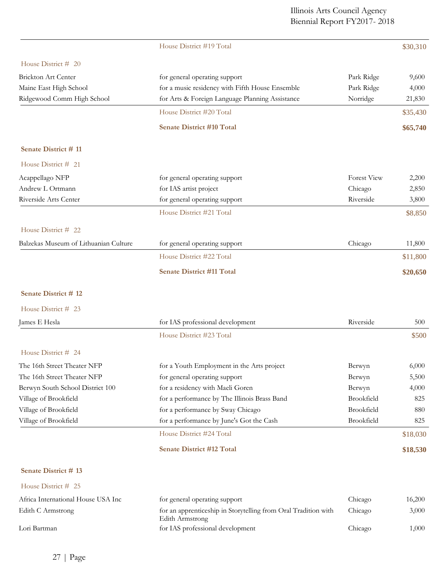|                                       | House District #19 Total                                                                 |                    | \$30,310 |
|---------------------------------------|------------------------------------------------------------------------------------------|--------------------|----------|
| House District # 20                   |                                                                                          |                    |          |
| Brickton Art Center                   | for general operating support                                                            | Park Ridge         | 9,600    |
| Maine East High School                | for a music residency with Fifth House Ensemble                                          | Park Ridge         | 4,000    |
| Ridgewood Comm High School            | for Arts & Foreign Language Planning Assistance                                          | Norridge           | 21,830   |
|                                       | House District #20 Total                                                                 |                    | \$35,430 |
|                                       | <b>Senate District #10 Total</b>                                                         |                    | \$65,740 |
| Senate District #11                   |                                                                                          |                    |          |
| House District # 21                   |                                                                                          |                    |          |
| Acappellago NFP                       | for general operating support                                                            | <b>Forest View</b> | 2,200    |
| Andrew L Ortmann                      | for IAS artist project                                                                   | Chicago            | 2,850    |
| Riverside Arts Center                 | for general operating support                                                            | Riverside          | 3,800    |
|                                       | House District #21 Total                                                                 |                    | \$8,850  |
| House District # 22                   |                                                                                          |                    |          |
| Balzekas Museum of Lithuanian Culture | for general operating support                                                            | Chicago            | 11,800   |
|                                       | House District #22 Total                                                                 |                    | \$11,800 |
|                                       | <b>Senate District #11 Total</b>                                                         |                    | \$20,650 |
| Senate District #12                   |                                                                                          |                    |          |
| House District # 23                   |                                                                                          |                    |          |
| James E Hesla                         | for IAS professional development                                                         | Riverside          | 500      |
|                                       | House District #23 Total                                                                 |                    | \$500    |
| House District # 24                   |                                                                                          |                    |          |
| The 16th Street Theater NFP           | for a Youth Employment in the Arts project                                               | Berwyn             | 6,000    |
| The 16th Street Theater NFP           | for general operating support                                                            | Berwyn             | 5,500    |
| Berwyn South School District 100      | for a residency with Maeli Goren                                                         | Berwyn             | 4,000    |
| Village of Brookfield                 | for a performance by The Illinois Brass Band                                             | Brookfield         | 825      |
| Village of Brookfield                 | for a performance by Sway Chicago                                                        | Brookfield         | 880      |
| Village of Brookfield                 | for a performance by June's Got the Cash                                                 | Brookfield         | 825      |
|                                       | House District #24 Total                                                                 |                    | \$18,030 |
|                                       | <b>Senate District #12 Total</b>                                                         |                    | \$18,530 |
| Senate District #13                   |                                                                                          |                    |          |
| House District # 25                   |                                                                                          |                    |          |
| Africa International House USA Inc    | for general operating support                                                            | Chicago            | 16,200   |
| Edith C Armstrong                     | for an apprenticeship in Storytelling from Oral Tradition with<br><b>Edith Armstrong</b> | Chicago            | 3,000    |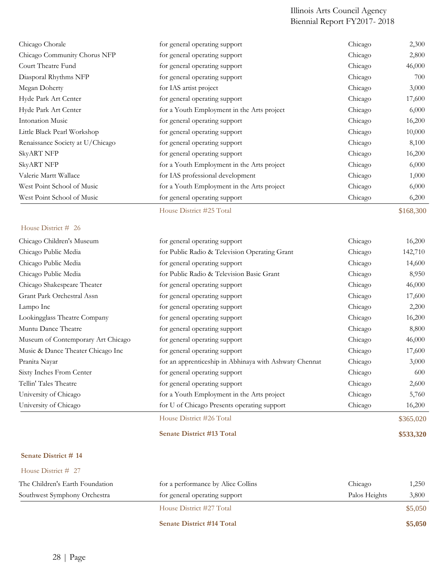| Chicago Chorale                  | for general operating support              | Chicago | 2,300     |
|----------------------------------|--------------------------------------------|---------|-----------|
| Chicago Community Chorus NFP     | for general operating support              | Chicago | 2,800     |
| Court Theatre Fund               | for general operating support              | Chicago | 46,000    |
| Diasporal Rhythms NFP            | for general operating support              | Chicago | 700       |
| Megan Doherty                    | for IAS artist project                     | Chicago | 3,000     |
| Hyde Park Art Center             | for general operating support              | Chicago | 17,600    |
| Hyde Park Art Center             | for a Youth Employment in the Arts project | Chicago | 6,000     |
| Intonation Music                 | for general operating support              | Chicago | 16,200    |
| Little Black Pearl Workshop      | for general operating support              | Chicago | 10,000    |
| Renaissance Society at U/Chicago | for general operating support              | Chicago | 8,100     |
| <b>SkyART NFP</b>                | for general operating support              | Chicago | 16,200    |
| <b>SkyART NFP</b>                | for a Youth Employment in the Arts project | Chicago | 6,000     |
| Valerie Martt Wallace            | for IAS professional development           | Chicago | 1,000     |
| West Point School of Music       | for a Youth Employment in the Arts project | Chicago | 6,000     |
| West Point School of Music       | for general operating support              | Chicago | 6,200     |
|                                  | House District #25 Total                   |         | \$168,300 |

## House District # 26

| Chicago Children's Museum          | for general operating support                          | Chicago | 16,200    |
|------------------------------------|--------------------------------------------------------|---------|-----------|
| Chicago Public Media               | for Public Radio & Television Operating Grant          | Chicago | 142,710   |
| Chicago Public Media               | for general operating support                          | Chicago | 14,600    |
| Chicago Public Media               | for Public Radio & Television Basic Grant              | Chicago | 8,950     |
| Chicago Shakespeare Theater        | for general operating support                          | Chicago | 46,000    |
| Grant Park Orchestral Assn         | for general operating support                          | Chicago | 17,600    |
| Lampo Inc                          | for general operating support                          | Chicago | 2,200     |
| Lookingglass Theatre Company       | for general operating support                          | Chicago | 16,200    |
| Muntu Dance Theatre                | for general operating support                          | Chicago | 8,800     |
| Museum of Contemporary Art Chicago | for general operating support                          | Chicago | 46,000    |
| Music & Dance Theater Chicago Inc  | for general operating support                          | Chicago | 17,600    |
| Pranita Nayar                      | for an apprenticeship in Abhinaya with Ashwaty Chennat | Chicago | 3,000     |
| Sixty Inches From Center           | for general operating support                          | Chicago | 600       |
| Tellin' Tales Theatre              | for general operating support                          | Chicago | 2,600     |
| University of Chicago              | for a Youth Employment in the Arts project             | Chicago | 5,760     |
| University of Chicago              | for U of Chicago Presents operating support            | Chicago | 16,200    |
|                                    | House District #26 Total                               |         | \$365,020 |

**Senate District #13 Total \$533,320**

## **Senate District # 14**

| House District $\#$ 27          |                                    |               |         |
|---------------------------------|------------------------------------|---------------|---------|
| The Children's Earth Foundation | for a performance by Alice Collins | Chicago       | 1,250   |
| Southwest Symphony Orchestra    | for general operating support      | Palos Heights | 3,800   |
|                                 | House District #27 Total           |               | \$5,050 |

**Senate District #14 Total \$5,050**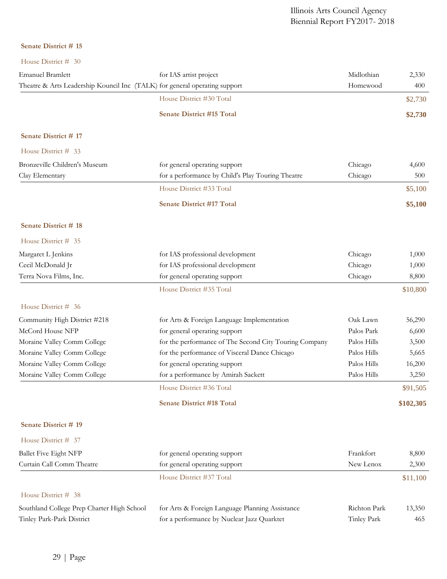#### **Senate District # 15**

| House District $\vec{H}$ 30                                                |                                                        |              |           |
|----------------------------------------------------------------------------|--------------------------------------------------------|--------------|-----------|
| <b>Emanuel Bramlett</b>                                                    | for IAS artist project                                 | Midlothian   | 2,330     |
| Theatre & Arts Leadership Kouncil Inc (TALK) for general operating support |                                                        | Homewood     | 400       |
|                                                                            | House District #30 Total                               |              | \$2,730   |
|                                                                            | <b>Senate District #15 Total</b>                       |              | \$2,730   |
| Senate District #17                                                        |                                                        |              |           |
| House District # 33                                                        |                                                        |              |           |
| Bronzeville Children's Museum                                              | for general operating support                          | Chicago      | 4,600     |
| Clay Elementary                                                            | for a performance by Child's Play Touring Theatre      | Chicago      | 500       |
|                                                                            | House District #33 Total                               |              | \$5,100   |
|                                                                            | <b>Senate District #17 Total</b>                       |              | \$5,100   |
| <b>Senate District # 18</b>                                                |                                                        |              |           |
| House District # 35                                                        |                                                        |              |           |
| Margaret L Jenkins                                                         | for IAS professional development                       | Chicago      | 1,000     |
| Cecil McDonald Jr                                                          | for IAS professional development                       | Chicago      | 1,000     |
| Terra Nova Films, Inc.                                                     | for general operating support                          | Chicago      | 8,800     |
|                                                                            | House District #35 Total                               |              | \$10,800  |
| House District # 36                                                        |                                                        |              |           |
| Community High District #218                                               | for Arts & Foreign Language Implementation             | Oak Lawn     | 56,290    |
| McCord House NFP                                                           | for general operating support                          | Palos Park   | 6,600     |
| Moraine Valley Comm College                                                | for the performance of The Second City Touring Company | Palos Hills  | 3,500     |
| Moraine Valley Comm College                                                | for the performance of Visceral Dance Chicago          | Palos Hills  | 5,665     |
| Moraine Valley Comm College                                                | for general operating support                          | Palos Hills  | 16,200    |
| Moraine Valley Comm College                                                | for a performance by Amirah Sackett                    | Palos Hills  | 3,250     |
|                                                                            | House District #36 Total                               |              | \$91,505  |
|                                                                            | <b>Senate District #18 Total</b>                       |              | \$102,305 |
| Senate District #19                                                        |                                                        |              |           |
| House District # 37                                                        |                                                        |              |           |
| <b>Ballet Five Eight NFP</b>                                               | for general operating support                          | Frankfort    | 8,800     |
| Curtain Call Comm Theatre                                                  | for general operating support                          | New Lenox    | 2,300     |
|                                                                            | House District #37 Total                               |              | \$11,100  |
|                                                                            |                                                        |              |           |
| House District # 38                                                        |                                                        |              |           |
| Southland College Prep Charter High School                                 | for Arts & Foreign Language Planning Assistance        | Richton Park | 13,350    |
| Tinley Park-Park District                                                  | for a performance by Nuclear Jazz Quarktet             | Tinley Park  | 465       |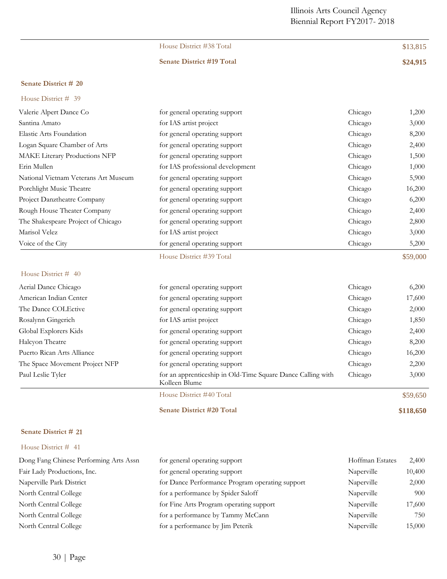| House District #38 Total         | \$13,815 |
|----------------------------------|----------|
| <b>Senate District #19 Total</b> | \$24,915 |

# **Senate District # 20** House District # 39

|                                      |                                                                              | Chicago |          |
|--------------------------------------|------------------------------------------------------------------------------|---------|----------|
| Valerie Alpert Dance Co              | for general operating support                                                |         | 1,200    |
| Santina Amato                        | for IAS artist project                                                       | Chicago | 3,000    |
| Elastic Arts Foundation              | for general operating support                                                | Chicago | 8,200    |
| Logan Square Chamber of Arts         | for general operating support                                                | Chicago | 2,400    |
| MAKE Literary Productions NFP        | for general operating support                                                | Chicago | 1,500    |
| Erin Mullen                          | for IAS professional development                                             | Chicago | 1,000    |
| National Vietnam Veterans Art Museum | for general operating support                                                | Chicago | 5,900    |
| Porchlight Music Theatre             | for general operating support                                                | Chicago | 16,200   |
| Project Danztheatre Company          | for general operating support                                                | Chicago | 6,200    |
| Rough House Theater Company          | for general operating support                                                | Chicago | 2,400    |
| The Shakespeare Project of Chicago   | for general operating support                                                | Chicago | 2,800    |
| Marisol Velez                        | for IAS artist project                                                       | Chicago | 3,000    |
| Voice of the City                    | for general operating support                                                | Chicago | 5,200    |
|                                      | House District #39 Total                                                     |         | \$59,000 |
| House District # 40                  |                                                                              |         |          |
| Aerial Dance Chicago                 | for general operating support                                                | Chicago | 6,200    |
| American Indian Center               | for general operating support                                                | Chicago | 17,600   |
| The Dance COLEctive                  | for general operating support                                                | Chicago | 2,000    |
| Rosalynn Gingerich                   | for IAS artist project                                                       | Chicago | 1,850    |
| Global Explorers Kids                | for general operating support                                                | Chicago | 2,400    |
| Halcyon Theatre                      | for general operating support                                                | Chicago | 8,200    |
| Puerto Rican Arts Alliance           | for general operating support                                                | Chicago | 16,200   |
| The Space Movement Project NFP       | for general operating support                                                | Chicago | 2,200    |
| Paul Leslie Tyler                    | for an apprenticeship in Old-Time Square Dance Calling with<br>Kolleen Blume | Chicago | 3,000    |
|                                      | House District #40 Total                                                     |         | \$59,650 |
|                                      |                                                                              |         |          |

#### **Senate District # 21**

#### House District # 41

| Dong Fang Chinese Performing Arts Assn | for general operating support                   | Hoffman Estates | 2,400  |
|----------------------------------------|-------------------------------------------------|-----------------|--------|
| Fair Lady Productions, Inc.            | for general operating support                   | Naperville      | 10,400 |
| Naperville Park District               | for Dance Performance Program operating support | Naperville      | 2,000  |
| North Central College                  | for a performance by Spider Saloff              | Naperville      | 900    |
| North Central College                  | for Fine Arts Program operating support         | Naperville      | 17,600 |
| North Central College                  | for a performance by Tammy McCann               | Naperville      | 750    |
| North Central College                  | for a performance by Jim Peterik                | Naperville      | 15,000 |

**Senate District #20 Total \$118,650**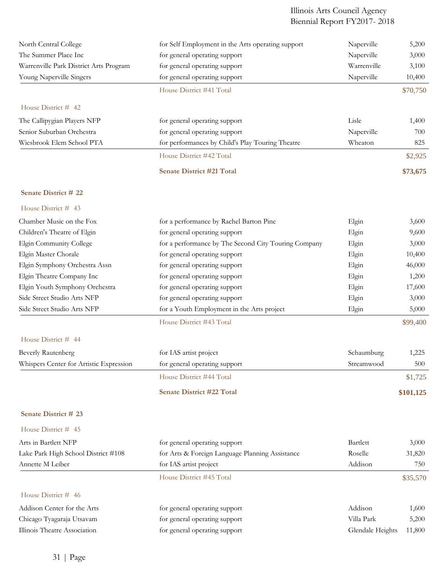| North Central College                   | for Self Employment in the Arts operating support    | Naperville       | 5,200     |
|-----------------------------------------|------------------------------------------------------|------------------|-----------|
| The Summer Place Inc                    | for general operating support                        | Naperville       | 3,000     |
| Warrenville Park District Arts Program  | for general operating support                        | Warrenville      | 3,100     |
| Young Naperville Singers                | for general operating support                        | Naperville       | 10,400    |
|                                         | House District #41 Total                             |                  | \$70,750  |
| House District # 42                     |                                                      |                  |           |
| The Callipygian Players NFP             | for general operating support                        | Lisle            | 1,400     |
| Senior Suburban Orchestra               | for general operating support                        | Naperville       | 700       |
| Wiesbrook Elem School PTA               | for performances by Child's Play Touring Theatre     | Wheaton          | 825       |
|                                         | House District #42 Total                             |                  | \$2,925   |
|                                         | <b>Senate District #21 Total</b>                     |                  | \$73,675  |
| Senate District # 22                    |                                                      |                  |           |
| House District # 43                     |                                                      |                  |           |
| Chamber Music on the Fox                | for a performance by Rachel Barton Pine              | Elgin            | 3,600     |
| Children's Theatre of Elgin             | for general operating support                        | Elgin            | 9,600     |
| Elgin Community College                 | for a performance by The Second City Touring Company | Elgin            | 3,000     |
| Elgin Master Chorale                    | for general operating support                        | Elgin            | 10,400    |
| Elgin Symphony Orchestra Assn           | for general operating support                        | Elgin            | 46,000    |
| Elgin Theatre Company Inc               | for general operating support                        | Elgin            | 1,200     |
| Elgin Youth Symphony Orchestra          | for general operating support                        | Elgin            | 17,600    |
| Side Street Studio Arts NFP             | for general operating support                        | Elgin            | 3,000     |
| Side Street Studio Arts NFP             | for a Youth Employment in the Arts project           | Elgin            | 5,000     |
|                                         | House District #43 Total                             |                  | \$99,400  |
| House District # 44                     |                                                      |                  |           |
| <b>Beverly Rautenberg</b>               | for IAS artist project                               | Schaumburg       | 1,225     |
| Whispers Center for Artistic Expression | for general operating support                        | Streamwood       | 500       |
|                                         | House District #44 Total                             |                  | \$1,725   |
|                                         | <b>Senate District #22 Total</b>                     |                  | \$101,125 |
| Senate District # 23                    |                                                      |                  |           |
| House District # 45                     |                                                      |                  |           |
| Arts in Bartlett NFP                    | for general operating support                        | Bartlett         | 3,000     |
| Lake Park High School District #108     | for Arts & Foreign Language Planning Assistance      | Roselle          | 31,820    |
| Annette M Leiber                        | for IAS artist project                               | Addison          | 750       |
|                                         | House District #45 Total                             |                  | \$35,570  |
| House District # 46                     |                                                      |                  |           |
| Addison Center for the Arts             | for general operating support                        | Addison          | 1,600     |
| Chicago Tyagaraja Utsavam               | for general operating support                        | Villa Park       | 5,200     |
| Illinois Theatre Association            | for general operating support                        | Glendale Heights | 11,800    |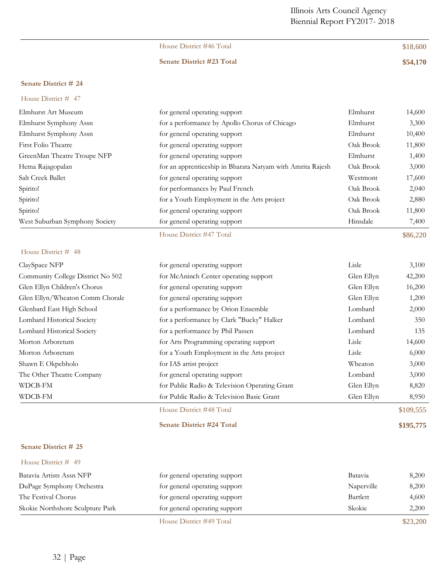## House District #46 Total \$18,600

#### **Senate District #23 Total \$54,170**

#### **Senate District # 24**

## House District # 47

| Elmhurst Art Museum            | for general operating support                              | Elmhurst  | 14,600 |
|--------------------------------|------------------------------------------------------------|-----------|--------|
| Elmhurst Symphony Assn         | for a performance by Apollo Chorus of Chicago              | Elmhurst  | 3,300  |
| Elmhurst Symphony Assn         | for general operating support                              | Elmhurst  | 10,400 |
| First Folio Theatre            | for general operating support                              | Oak Brook | 11,800 |
| GreenMan Theatre Troupe NFP    | for general operating support                              | Elmhurst  | 1,400  |
| Hema Rajagopalan               | for an apprenticeship in Bharata Natyam with Amrita Rajesh | Oak Brook | 3,000  |
| Salt Creek Ballet              | for general operating support                              | Westmont  | 17,600 |
| Spirito!                       | for performances by Paul French                            | Oak Brook | 2,040  |
| Spirito!                       | for a Youth Employment in the Arts project                 | Oak Brook | 2,880  |
| Spirito!                       | for general operating support                              | Oak Brook | 11,800 |
| West Suburban Symphony Society | for general operating support                              | Hinsdale  | 7,400  |

House District #47 Total \$86,220

House District # 48

| ClaySpace NFP                     | for general operating support                 | Lisle      | 3,100  |
|-----------------------------------|-----------------------------------------------|------------|--------|
| Community College District No 502 | for McAninch Center operating support         | Glen Ellyn | 42,200 |
| Glen Ellyn Children's Chorus      | for general operating support                 | Glen Ellyn | 16,200 |
| Glen Ellyn/Wheaton Comm Chorale   | for general operating support                 | Glen Ellyn | 1,200  |
| Glenbard East High School         | for a performance by Orion Ensemble           | Lombard    | 2,000  |
| Lombard Historical Society        | for a performance by Clark "Bucky" Halker     | Lombard    | 350    |
| Lombard Historical Society        | for a performance by Phil Passen              | Lombard    | 135    |
| Morton Arboretum                  | for Arts Programming operating support        | Lisle      | 14,600 |
| Morton Arboretum                  | for a Youth Employment in the Arts project    | Lisle      | 6,000  |
| Shawn E Okpebholo                 | for IAS artist project                        | Wheaton    | 3,000  |
| The Other Theatre Company         | for general operating support                 | Lombard    | 3,000  |
| WDCB-FM                           | for Public Radio & Television Operating Grant | Glen Ellyn | 8,820  |
| WDCB-FM                           | for Public Radio & Television Basic Grant     | Glen Ellyn | 8,950  |
|                                   |                                               |            |        |

#### House District #48 Total \$109,555

**Senate District #24 Total \$195,775**

#### **Senate District # 25**

|                                  | House District #49 Total      |            | \$23,200 |
|----------------------------------|-------------------------------|------------|----------|
| Skokie Northshore Sculpture Park | for general operating support | Skokie     | 2,200    |
| The Festival Chorus              | for general operating support | Bartlett   | 4,600    |
| DuPage Symphony Orchestra        | for general operating support | Naperville | 8,200    |
| Batavia Artists Assn NFP         | for general operating support | Batavia    | 8.200    |
| House District # 49              |                               |            |          |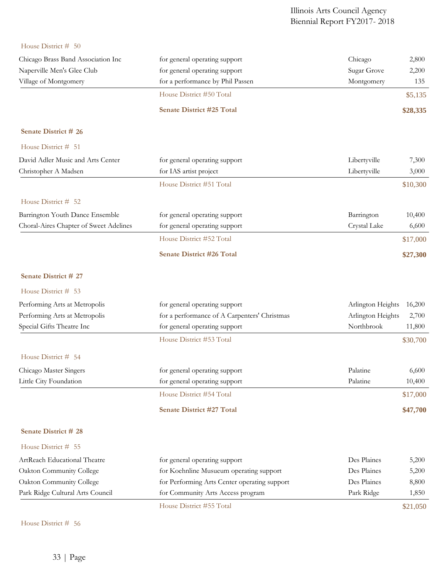## House District # 50

| Chicago Brass Band Association Inc     | for general operating support                | Chicago           | 2,800    |
|----------------------------------------|----------------------------------------------|-------------------|----------|
| Naperville Men's Glee Club             | for general operating support                | Sugar Grove       | 2,200    |
| Village of Montgomery                  | for a performance by Phil Passen             | Montgomery        | 135      |
|                                        | House District #50 Total                     |                   | \$5,135  |
|                                        | Senate District #25 Total                    |                   | \$28,335 |
| Senate District # 26                   |                                              |                   |          |
| House District # 51                    |                                              |                   |          |
| David Adler Music and Arts Center      | for general operating support                | Libertyville      | 7,300    |
| Christopher A Madsen                   | for IAS artist project                       | Libertyville      | 3,000    |
|                                        | House District #51 Total                     |                   | \$10,300 |
| House District # 52                    |                                              |                   |          |
| Barrington Youth Dance Ensemble        | for general operating support                | Barrington        | 10,400   |
| Choral-Aires Chapter of Sweet Adelines | for general operating support                | Crystal Lake      | 6,600    |
|                                        | House District #52 Total                     |                   | \$17,000 |
|                                        | <b>Senate District #26 Total</b>             |                   | \$27,300 |
| Senate District # 27                   |                                              |                   |          |
| House District # 53                    |                                              |                   |          |
| Performing Arts at Metropolis          | for general operating support                | Arlington Heights | 16,200   |
| Performing Arts at Metropolis          | for a performance of A Carpenters' Christmas | Arlington Heights | 2,700    |
| Special Gifts Theatre Inc              | for general operating support                | Northbrook        | 11,800   |
|                                        | House District #53 Total                     |                   | \$30,700 |
| House District # 54                    |                                              |                   |          |
| Chicago Master Singers                 | for general operating support                | Palatine          | 6,600    |
| Little City Foundation                 | for general operating support                | Palatine          | 10,400   |
|                                        | House District #54 Total                     |                   | \$17,000 |
|                                        | Senate District #27 Total                    |                   | \$47,700 |
| <b>Senate District # 28</b>            |                                              |                   |          |
| House District # 55                    |                                              |                   |          |
| ArtReach Educational Theatre           | for general operating support                | Des Plaines       | 5,200    |
| Oakton Community College               | for Koehnline Musueum operating support      | Des Plaines       | 5,200    |
| Oakton Community College               | for Performing Arts Center operating support | Des Plaines       | 8,800    |
| Park Ridge Cultural Arts Council       | for Community Arts Access program            | Park Ridge        | 1,850    |
|                                        | House District #55 Total                     |                   | \$21,050 |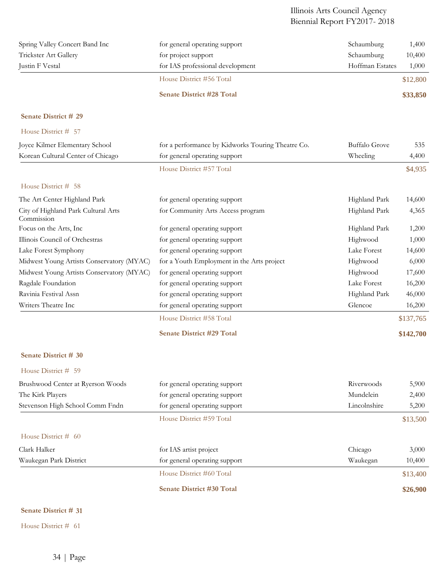| Spring Valley Concert Band Inc | for general operating support    | Schaumburg      | 1,400    |
|--------------------------------|----------------------------------|-----------------|----------|
| Trickster Art Gallery          | for project support              | Schaumburg      | 10,400   |
| Justin F Vestal                | for IAS professional development | Hoffman Estates | 1,000    |
|                                | House District #56 Total         |                 | \$12,800 |
|                                | <b>Senate District #28 Total</b> |                 | \$33,850 |

## **Senate District # 29**

House District # 57

| Joyce Kilmer Elementary School                    | for a performance by Kidworks Touring Theatre Co. | <b>Buffalo Grove</b> | 535       |
|---------------------------------------------------|---------------------------------------------------|----------------------|-----------|
| Korean Cultural Center of Chicago                 | for general operating support                     | Wheeling             | 4,400     |
|                                                   | House District #57 Total                          |                      | \$4,935   |
| House District # 58                               |                                                   |                      |           |
| The Art Center Highland Park                      | for general operating support                     | Highland Park        | 14,600    |
| City of Highland Park Cultural Arts<br>Commission | for Community Arts Access program                 | Highland Park        | 4,365     |
| Focus on the Arts, Inc                            | for general operating support                     | Highland Park        | 1,200     |
| Illinois Council of Orchestras                    | for general operating support                     | Highwood             | 1,000     |
| Lake Forest Symphony                              | for general operating support                     | Lake Forest          | 14,600    |
| Midwest Young Artists Conservatory (MYAC)         | for a Youth Employment in the Arts project        | Highwood             | 6,000     |
| Midwest Young Artists Conservatory (MYAC)         | for general operating support                     | Highwood             | 17,600    |
| Ragdale Foundation                                | for general operating support                     | Lake Forest          | 16,200    |
| Ravinia Festival Assn                             | for general operating support                     | Highland Park        | 46,000    |
| Writers Theatre Inc                               | for general operating support                     | Glencoe              | 16,200    |
|                                                   | House District #58 Total                          |                      | \$137,765 |
|                                                   | <b>Senate District #29 Total</b>                  |                      | \$142,700 |
| Senate District # 30                              |                                                   |                      |           |
| House District # 59                               |                                                   |                      |           |
| Brushwood Center at Ryerson Woods                 | for general operating support                     | Riverwoods           | 5,900     |
| The Kirk Players                                  | for general operating support                     | Mundelein            | 2,400     |
| Stevenson High School Comm Fndn                   | for general operating support                     | Lincolnshire         | 5,200     |
|                                                   | House District #59 Total                          |                      | \$13,500  |
| House District # 60                               |                                                   |                      |           |
| Clark Halker                                      | for IAS artist project                            | Chicago              | 3,000     |
| Waukegan Park District                            | for general operating support                     | Waukegan             | 10,400    |
|                                                   | House District #60 Total                          |                      | \$13,400  |
|                                                   | <b>Senate District #30 Total</b>                  |                      | \$26,900  |

## **Senate District # 31**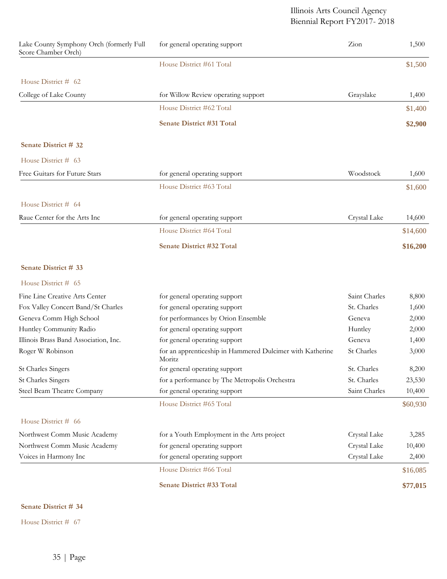| Lake County Symphony Orch (formerly Full<br>Score Chamber Orch) | for general operating support                                       | Zion          | 1,500    |
|-----------------------------------------------------------------|---------------------------------------------------------------------|---------------|----------|
|                                                                 | House District #61 Total                                            |               | \$1,500  |
| House District # 62                                             |                                                                     |               |          |
| College of Lake County                                          | for Willow Review operating support                                 | Grayslake     | 1,400    |
|                                                                 | House District #62 Total                                            |               | \$1,400  |
|                                                                 | <b>Senate District #31 Total</b>                                    |               | \$2,900  |
| Senate District # 32                                            |                                                                     |               |          |
| House District # 63                                             |                                                                     |               |          |
| Free Guitars for Future Stars                                   | for general operating support                                       | Woodstock     | 1,600    |
|                                                                 | House District #63 Total                                            |               | \$1,600  |
| House District # 64                                             |                                                                     |               |          |
| Raue Center for the Arts Inc                                    | for general operating support                                       | Crystal Lake  | 14,600   |
|                                                                 | House District #64 Total                                            |               | \$14,600 |
|                                                                 | <b>Senate District #32 Total</b>                                    |               | \$16,200 |
| Senate District # 33                                            |                                                                     |               |          |
| House District # 65                                             |                                                                     |               |          |
| Fine Line Creative Arts Center                                  | for general operating support                                       | Saint Charles | 8,800    |
| Fox Valley Concert Band/St Charles                              | for general operating support                                       | St. Charles   | 1,600    |
| Geneva Comm High School                                         | for performances by Orion Ensemble                                  | Geneva        | 2,000    |
| Huntley Community Radio                                         | for general operating support                                       | Huntley       | 2,000    |
| Illinois Brass Band Association, Inc.                           | for general operating support                                       | Geneva        | 1,400    |
| Roger W Robinson                                                | for an apprenticeship in Hammered Dulcimer with Katherine<br>Moritz | St Charles    | 3,000    |
| <b>St Charles Singers</b>                                       | for general operating support                                       | St. Charles   | 8,200    |
| <b>St Charles Singers</b>                                       | for a performance by The Metropolis Orchestra                       | St. Charles   | 23,530   |
| Steel Beam Theatre Company                                      | for general operating support                                       | Saint Charles | 10,400   |
|                                                                 | House District #65 Total                                            |               | \$60,930 |
| House District # 66                                             |                                                                     |               |          |
| Northwest Comm Music Academy                                    | for a Youth Employment in the Arts project                          | Crystal Lake  | 3,285    |
| Northwest Comm Music Academy                                    | for general operating support                                       | Crystal Lake  | 10,400   |
| Voices in Harmony Inc                                           | for general operating support                                       | Crystal Lake  | 2,400    |
|                                                                 | House District #66 Total                                            |               | \$16,085 |
|                                                                 | Senate District #33 Total                                           |               | \$77,015 |

## **Senate District # 34**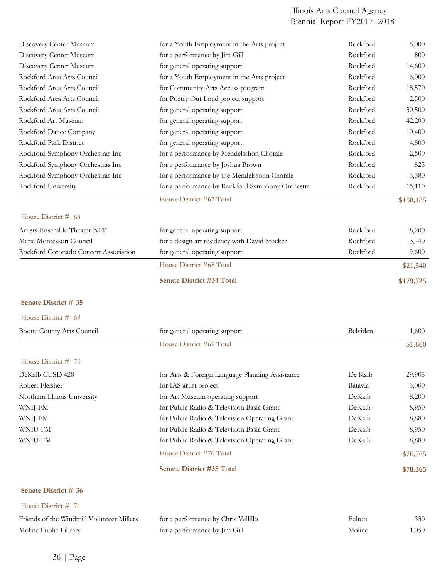| Discovery Center Museum                                            | for a Youth Employment in the Arts project                           | Rockford         | 6,000        |
|--------------------------------------------------------------------|----------------------------------------------------------------------|------------------|--------------|
| Discovery Center Museum                                            | for a performance by Jim Gill                                        | Rockford         | 800          |
| Discovery Center Museum                                            | for general operating support                                        | Rockford         | 14,600       |
| Rockford Area Arts Council                                         | for a Youth Employment in the Arts project                           | Rockford         | 6,000        |
| Rockford Area Arts Council                                         | for Community Arts Access program                                    | Rockford         | 18,570       |
| Rockford Area Arts Council                                         | for Poetry Out Loud project support                                  | Rockford         | 2,500        |
| Rockford Area Arts Council                                         | for general operating support                                        | Rockford         | 30,500       |
| Rockford Art Museum                                                | for general operating support                                        | Rockford         | 42,200       |
| Rockford Dance Company                                             | for general operating support                                        | Rockford         | 10,400       |
| Rockford Park District                                             | for general operating support                                        | Rockford         | 4,800        |
| Rockford Symphony Orchestras Inc                                   | for a performance by Mendelsshon Chorale                             | Rockford         | 2,500        |
| Rockford Symphony Orchestras Inc                                   | for a performance by Joshua Brown                                    | Rockford         | 825          |
| Rockford Symphony Orchestras Inc                                   | for a performance by the Mendelssohn Chorale                         | Rockford         | 3,380        |
| Rockford University                                                | for a performance by Rockford Symphony Orchestra                     | Rockford         | 15,110       |
|                                                                    | House District #67 Total                                             |                  | \$158,185    |
| House District # 68                                                |                                                                      |                  |              |
| Artists Ensemble Theater NFP                                       | for general operating support                                        | Rockford         | 8,200        |
| Maria Montessori Council                                           | for a design art residency with David Stocker                        | Rockford         | 3,740        |
| Rockford Coronado Concert Association                              | for general operating support                                        | Rockford         | 9,600        |
|                                                                    | House District #68 Total                                             |                  | \$21,540     |
|                                                                    | Senate District #34 Total                                            |                  | \$179,725    |
| Senate District # 35                                               |                                                                      |                  |              |
| House District # 69                                                |                                                                      |                  |              |
| Boone County Arts Council                                          | for general operating support                                        | Belvidere        | 1,600        |
|                                                                    | House District #69 Total                                             |                  | \$1,600      |
| House District $# 70$                                              |                                                                      |                  |              |
| DeKalb CUSD 428                                                    | for Arts & Foreign Language Planning Assistance                      | De Kalb          | 29,905       |
| Robert Fleisher                                                    | for IAS artist project                                               | Batavia          | 3,000        |
| Northern Illinois University                                       | for Art Museum operating support                                     | DeKalb           | 8,200        |
| WNIJ-FM                                                            | for Public Radio & Television Basic Grant                            | DeKalb           | 8,950        |
| WNIJ-FM                                                            | for Public Radio & Television Operating Grant                        | DeKalb           | 8,880        |
| <b>WNIU-FM</b>                                                     | for Public Radio & Television Basic Grant                            | DeKalb           | 8,950        |
| WNIU-FM                                                            | for Public Radio & Television Operating Grant                        | DeKalb           | 8,880        |
|                                                                    | House District #70 Total                                             |                  | \$76,765     |
|                                                                    | Senate District #35 Total                                            |                  | \$78,365     |
| Senate District # 36                                               |                                                                      |                  |              |
| House District # 71                                                |                                                                      |                  |              |
|                                                                    |                                                                      |                  |              |
| Friends of the Windmill Volunteer Millers<br>Moline Public Library | for a performance by Chris Vallillo<br>for a performance by Jim Gill | Fulton<br>Moline | 330<br>1,050 |
|                                                                    |                                                                      |                  |              |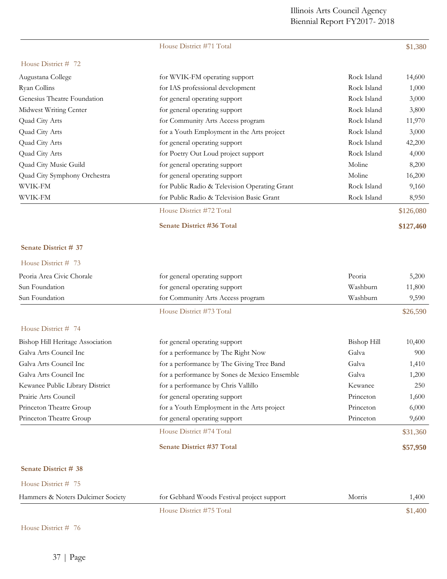House District #71 Total \$1,380

House District #75 Total \$1,400

| House District # 72               |                                               |                    |           |
|-----------------------------------|-----------------------------------------------|--------------------|-----------|
| Augustana College                 | for WVIK-FM operating support                 | Rock Island        | 14,600    |
| Ryan Collins                      | for IAS professional development              | Rock Island        | 1,000     |
| Genesius Theatre Foundation       | for general operating support                 | Rock Island        | 3,000     |
| Midwest Writing Center            | for general operating support                 | Rock Island        | 3,800     |
| Quad City Arts                    | for Community Arts Access program             | Rock Island        | 11,970    |
| Quad City Arts                    | for a Youth Employment in the Arts project    | Rock Island        | 3,000     |
| Quad City Arts                    | for general operating support                 | Rock Island        | 42,200    |
| Quad City Arts                    | for Poetry Out Loud project support           | Rock Island        | 4,000     |
| Quad City Music Guild             | for general operating support                 | Moline             | 8,200     |
| Quad City Symphony Orchestra      | for general operating support                 | Moline             | 16,200    |
| WVIK-FM                           | for Public Radio & Television Operating Grant | Rock Island        | 9,160     |
| <b>WVIK-FM</b>                    | for Public Radio & Television Basic Grant     | Rock Island        | 8,950     |
|                                   | House District #72 Total                      |                    | \$126,080 |
|                                   | <b>Senate District #36 Total</b>              |                    | \$127,460 |
| Senate District # 37              |                                               |                    |           |
| House District # 73               |                                               |                    |           |
| Peoria Area Civic Chorale         | for general operating support                 | Peoria             | 5,200     |
| Sun Foundation                    | for general operating support                 | Washburn           | 11,800    |
| Sun Foundation                    | for Community Arts Access program             | Washburn           | 9,590     |
|                                   | House District #73 Total                      |                    | \$26,590  |
| House District # 74               |                                               |                    |           |
| Bishop Hill Heritage Association  | for general operating support                 | <b>Bishop Hill</b> | 10,400    |
| Galva Arts Council Inc            | for a performance by The Right Now            | Galva              | 900       |
| Galva Arts Council Inc            | for a performance by The Giving Tree Band     | Galva              | 1,410     |
| Galva Arts Council Inc            | for a performance by Sones de Mexico Ensemble | Galva              | 1,200     |
| Kewanee Public Library District   | for a performance by Chris Vallillo           | Kewanee            | 250       |
| Prairie Arts Council              | for general operating support                 | Princeton          | 1,600     |
| Princeton Theatre Group           | for a Youth Employment in the Arts project    | Princeton          | 6,000     |
| Princeton Theatre Group           | for general operating support                 | Princeton          | 9,600     |
|                                   | House District #74 Total                      |                    | \$31,360  |
|                                   | Senate District #37 Total                     |                    | \$57,950  |
| Senate District # 38              |                                               |                    |           |
| House District # 75               |                                               |                    |           |
| Hammers & Noters Dulcimer Society | for Gebhard Woods Festival project support    | Morris             | 1,400     |

| House District # 76 |  |
|---------------------|--|
|---------------------|--|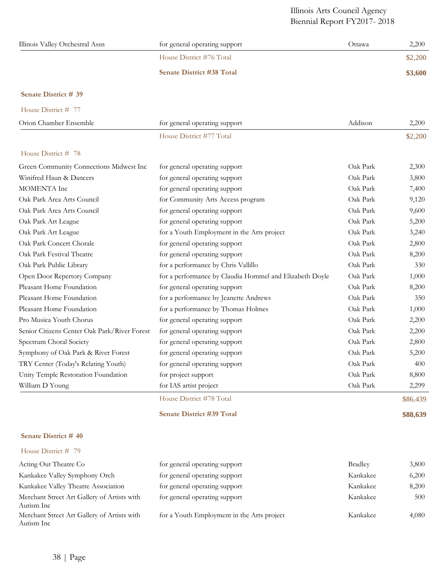| Illinois Valley Orchestral Assn | for general operating support    | Ottawa | 2,200   |
|---------------------------------|----------------------------------|--------|---------|
|                                 | House District #76 Total         |        | \$2,200 |
|                                 | <b>Senate District #38 Total</b> |        | \$3,600 |

## **Senate District # 39**

| House District # 77    |                               |         |         |
|------------------------|-------------------------------|---------|---------|
| Orion Chamber Ensemble | for general operating support | Addison | 2,200   |
|                        | House District #77 Total      |         | \$2,200 |
| House District # 78    |                               |         |         |

| Green Community Connections Midwest Inc      | for general operating support                           | Oak Park | 2,300    |
|----------------------------------------------|---------------------------------------------------------|----------|----------|
| Winifred Haun & Dancers                      | for general operating support                           | Oak Park | 3,800    |
| MOMENTA Inc                                  | for general operating support                           | Oak Park | 7,400    |
| Oak Park Area Arts Council                   | for Community Arts Access program                       | Oak Park | 9,120    |
| Oak Park Area Arts Council                   | for general operating support                           | Oak Park | 9,600    |
| Oak Park Art League                          | for general operating support                           | Oak Park | 5,200    |
| Oak Park Art League                          | for a Youth Employment in the Arts project              | Oak Park | 3,240    |
| Oak Park Concert Chorale                     | for general operating support                           | Oak Park | 2,800    |
| Oak Park Festival Theatre                    | for general operating support                           | Oak Park | 8,200    |
| Oak Park Public Library                      | for a performance by Chris Vallillo                     | Oak Park | 330      |
| Open Door Repertory Company                  | for a performance by Claudia Hommel and Elizabeth Doyle | Oak Park | 1,000    |
| Pleasant Home Foundation                     | for general operating support                           | Oak Park | 8,200    |
| Pleasant Home Foundation                     | for a performance by Jeanette Andrews                   | Oak Park | 350      |
| Pleasant Home Foundation                     | for a performance by Thomas Holmes                      | Oak Park | 1,000    |
| Pro Musica Youth Chorus                      | for general operating support                           | Oak Park | 2,200    |
| Senior Citizens Center Oak Park/River Forest | for general operating support                           | Oak Park | 2,200    |
| Spectrum Choral Society                      | for general operating support                           | Oak Park | 2,800    |
| Symphony of Oak Park & River Forest          | for general operating support                           | Oak Park | 5,200    |
| TRY Center (Today's Relating Youth)          | for general operating support                           | Oak Park | 400      |
| Unity Temple Restoration Foundation          | for project support                                     | Oak Park | 8,800    |
| William D Young                              | for IAS artist project                                  | Oak Park | 2,299    |
|                                              | House District #78 Total                                |          | \$86,439 |

**Senate District #39 Total \$88,639**

## **Senate District # 40**

| Acting Out Theatre Co                                     | for general operating support              | <b>Bradley</b> | 3,800 |
|-----------------------------------------------------------|--------------------------------------------|----------------|-------|
| Kankakee Valley Symphony Orch                             | for general operating support              | Kankakee       | 6,200 |
| Kankakee Valley Theatre Association                       | for general operating support              | Kankakee       | 8,200 |
| Merchant Street Art Gallery of Artists with<br>Autism Inc | for general operating support              | Kankakee       | 500   |
| Merchant Street Art Gallery of Artists with<br>Autism Inc | for a Youth Employment in the Arts project | Kankakee       | 4,080 |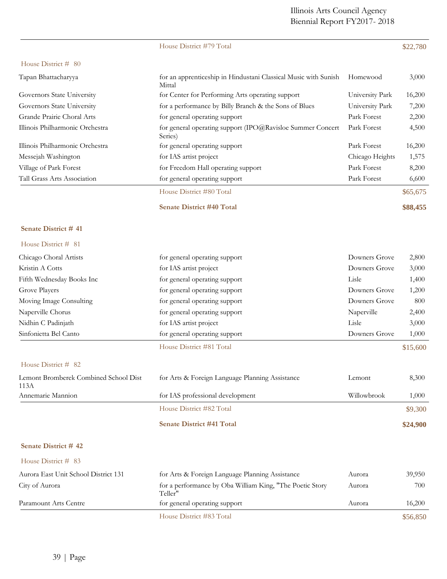|                                               | House District #79 Total                                                  |                 | \$22,780 |
|-----------------------------------------------|---------------------------------------------------------------------------|-----------------|----------|
| House District # 80                           |                                                                           |                 |          |
| Tapan Bhattacharyya                           | for an apprenticeship in Hindustani Classical Music with Sunish<br>Mittal | Homewood        | 3,000    |
| Governors State University                    | for Center for Performing Arts operating support                          | University Park | 16,200   |
| Governors State University                    | for a performance by Billy Branch & the Sons of Blues                     | University Park | 7,200    |
| Grande Prairie Choral Arts                    | for general operating support                                             | Park Forest     | 2,200    |
| Illinois Philharmonic Orchestra               | for general operating support (IPO@Ravisloe Summer Concert<br>Series)     | Park Forest     | 4,500    |
| Illinois Philharmonic Orchestra               | for general operating support                                             | Park Forest     | 16,200   |
| Messejah Washington                           | for IAS artist project                                                    | Chicago Heights | 1,575    |
| Village of Park Forest                        | for Freedom Hall operating support                                        | Park Forest     | 8,200    |
| Tall Grass Arts Association                   | for general operating support                                             | Park Forest     | 6,600    |
|                                               | House District #80 Total                                                  |                 | \$65,675 |
|                                               | <b>Senate District #40 Total</b>                                          |                 | \$88,455 |
| Senate District #41                           |                                                                           |                 |          |
| House District # 81                           |                                                                           |                 |          |
| Chicago Choral Artists                        | for general operating support                                             | Downers Grove   | 2,800    |
| Kristin A Cotts                               | for IAS artist project                                                    | Downers Grove   | 3,000    |
| Fifth Wednesday Books Inc                     | for general operating support                                             | Lisle           | 1,400    |
| Grove Players                                 | for general operating support                                             | Downers Grove   | 1,200    |
| Moving Image Consulting                       | for general operating support                                             | Downers Grove   | 800      |
| Naperville Chorus                             | for general operating support                                             | Naperville      | 2,400    |
| Nidhin C Padinjath                            | for IAS artist project                                                    | Lisle           | 3,000    |
| Sinfonietta Bel Canto                         | for general operating support                                             | Downers Grove   | 1,000    |
|                                               | House District #81 Total                                                  |                 | \$15,600 |
| House District # 82                           |                                                                           |                 |          |
| Lemont Bromberek Combined School Dist<br>113A | for Arts & Foreign Language Planning Assistance                           | Lemont          | 8,300    |
| Annemarie Mannion                             | for IAS professional development                                          | Willowbrook     | 1,000    |
|                                               | House District #82 Total                                                  |                 | \$9,300  |
|                                               | <b>Senate District #41 Total</b>                                          |                 | \$24,900 |
| Senate District #42                           |                                                                           |                 |          |
| House District # 83                           |                                                                           |                 |          |
| Aurora East Unit School District 131          | for Arts & Foreign Language Planning Assistance                           | Aurora          | 39,950   |
| City of Aurora                                | for a performance by Oba William King, "The Poetic Story<br>Teller"       | Aurora          | 700      |
| Paramount Arts Centre                         | for general operating support                                             | Aurora          | 16,200   |
|                                               | House District #83 Total                                                  |                 | \$56,850 |

39 | Page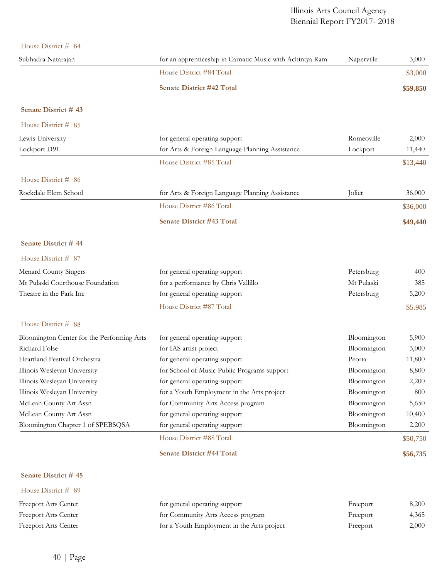House District # 84

| TIUUSU LASUILU $\pi$                       |                                                           |             |          |
|--------------------------------------------|-----------------------------------------------------------|-------------|----------|
| Subhadra Natarajan                         | for an apprenticeship in Carnatic Music with Achintya Ram | Naperville  | 3,000    |
|                                            | House District #84 Total                                  |             | \$3,000  |
|                                            | <b>Senate District #42 Total</b>                          |             | \$59,850 |
| Senate District #43                        |                                                           |             |          |
| House District # 85                        |                                                           |             |          |
| Lewis University                           | for general operating support                             | Romeoville  | 2,000    |
| Lockport D91                               | for Arts & Foreign Language Planning Assistance           | Lockport    | 11,440   |
|                                            | House District #85 Total                                  |             | \$13,440 |
| House District # 86                        |                                                           |             |          |
| Rockdale Elem School                       | for Arts & Foreign Language Planning Assistance           | Joliet      | 36,000   |
|                                            | House District #86 Total                                  |             | \$36,000 |
|                                            | <b>Senate District #43 Total</b>                          |             | \$49,440 |
| Senate District #44                        |                                                           |             |          |
| House District # 87                        |                                                           |             |          |
| Menard County Singers                      | for general operating support                             | Petersburg  | 400      |
| Mt Pulaski Courthouse Foundation           | for a performance by Chris Vallillo                       | Mt Pulaski  | 385      |
| Theatre in the Park Inc                    | for general operating support                             | Petersburg  | 5,200    |
|                                            | House District #87 Total                                  |             | \$5,985  |
| House District # 88                        |                                                           |             |          |
| Bloomington Center for the Performing Arts | for general operating support                             | Bloomington | 5,900    |
| Richard Folse                              | for IAS artist project                                    | Bloomington | 3,000    |
| Heartland Festival Orchestra               | for general operating support                             | Peoria      | 11,800   |
| Illinois Wesleyan University               | for School of Music Public Programs support               | Bloomington | 8,800    |
| Illinois Wesleyan University               | for general operating support                             | Bloomington | 2,200    |
| Illinois Wesleyan University               | for a Youth Employment in the Arts project                | Bloomington | 800      |
| McLean County Art Assn                     | for Community Arts Access program                         | Bloomington | 5,650    |
| McLean County Art Assn                     | for general operating support                             | Bloomington | 10,400   |
| Bloomington Chapter 1 of SPEBSQSA          | for general operating support                             | Bloomington | 2,200    |
|                                            | House District #88 Total                                  |             | \$50,750 |
|                                            | <b>Senate District #44 Total</b>                          |             | \$56,735 |
| Senate District #45                        |                                                           |             |          |
| House District # 89                        |                                                           |             |          |
| Freeport Arts Center                       | for general operating support                             | Freeport    | 8,200    |
| Freeport Arts Center                       | for Community Arts Access program                         | Freeport    | 4,365    |

Freeport Arts Center for a Youth Employment in the Arts project Freeport Freeport 2,000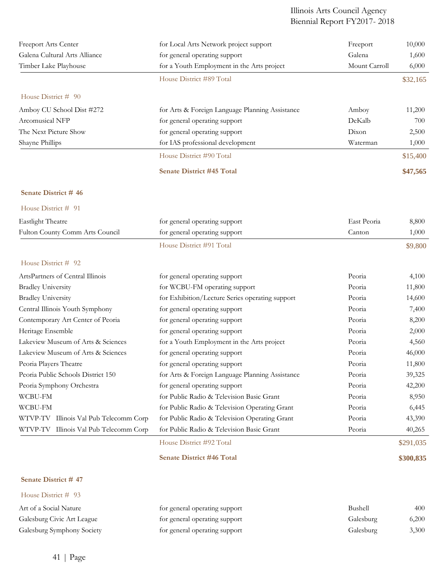| Freeport Arts Center                   | for Local Arts Network project support          | Freeport      | 10,000    |
|----------------------------------------|-------------------------------------------------|---------------|-----------|
| Galena Cultural Arts Alliance          | for general operating support                   | Galena        | 1,600     |
| Timber Lake Playhouse                  | for a Youth Employment in the Arts project      | Mount Carroll | 6,000     |
|                                        | House District #89 Total                        |               | \$32,165  |
| House District # 90                    |                                                 |               |           |
| Amboy CU School Dist #272              | for Arts & Foreign Language Planning Assistance | Amboy         | 11,200    |
| Arcomusical NFP                        | for general operating support                   | DeKalb        | 700       |
| The Next Picture Show                  | for general operating support                   | Dixon         | 2,500     |
| Shayne Phillips                        | for IAS professional development                | Waterman      | 1,000     |
|                                        | House District #90 Total                        |               | \$15,400  |
|                                        | <b>Senate District #45 Total</b>                |               | \$47,565  |
| Senate District #46                    |                                                 |               |           |
| House District # 91                    |                                                 |               |           |
| Eastlight Theatre                      | for general operating support                   | East Peoria   | 8,800     |
| Fulton County Comm Arts Council        | for general operating support                   | Canton        | 1,000     |
|                                        | House District #91 Total                        |               | \$9,800   |
| House District # 92                    |                                                 |               |           |
| ArtsPartners of Central Illinois       | for general operating support                   | Peoria        | 4,100     |
| <b>Bradley University</b>              | for WCBU-FM operating support                   | Peoria        | 11,800    |
| <b>Bradley University</b>              | for Exhibition/Lecture Series operating support | Peoria        | 14,600    |
| Central Illinois Youth Symphony        | for general operating support                   | Peoria        | 7,400     |
| Contemporary Art Center of Peoria      | for general operating support                   | Peoria        | 8,200     |
| Heritage Ensemble                      | for general operating support                   | Peoria        | 2,000     |
| Lakeview Museum of Arts & Sciences     | for a Youth Employment in the Arts project      | Peoria        | 4,560     |
| Lakeview Museum of Arts & Sciences     | for general operating support                   | Peoria        | 46,000    |
| Peoria Players Theatre                 | for general operating support                   | Peoria        | 11,800    |
| Peoria Public Schools District 150     | for Arts & Foreign Language Planning Assistance | Peoria        | 39,325    |
| Peoria Symphony Orchestra              | for general operating support                   | Peoria        | 42,200    |
| WCBU-FM                                | for Public Radio & Television Basic Grant       | Peoria        | 8,950     |
| WCBU-FM                                | for Public Radio & Television Operating Grant   | Peoria        | 6,445     |
| WTVP-TV Illinois Val Pub Telecomm Corp | for Public Radio & Television Operating Grant   | Peoria        | 43,390    |
| WTVP-TV Illinois Val Pub Telecomm Corp | for Public Radio & Television Basic Grant       | Peoria        | 40,265    |
|                                        | House District #92 Total                        |               | \$291,035 |
|                                        | <b>Senate District #46 Total</b>                |               | \$300,835 |
| Senate District #47                    |                                                 |               |           |

| Art of a Social Nature     | for general operating support | Bushell   | 400   |
|----------------------------|-------------------------------|-----------|-------|
| Galesburg Civic Art League | for general operating support | Galesburg | 6,200 |
| Galesburg Symphony Society | for general operating support | Galesburg | 3,300 |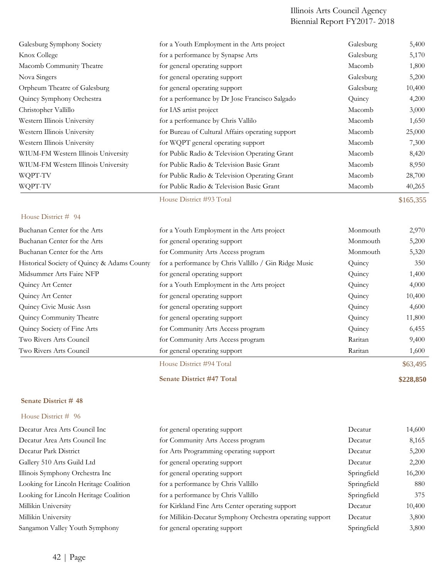| Galesburg Symphony Society          | for a Youth Employment in the Arts project       | Galesburg | 5,400     |
|-------------------------------------|--------------------------------------------------|-----------|-----------|
| Knox College                        | for a performance by Synapse Arts                | Galesburg | 5,170     |
| Macomb Community Theatre            | for general operating support                    | Macomb    | 1,800     |
| Nova Singers                        | for general operating support                    | Galesburg | 5,200     |
| Orpheum Theatre of Galesburg        | for general operating support                    | Galesburg | 10,400    |
| Quincy Symphony Orchestra           | for a performance by Dr Jose Francisco Salgado   | Quincy    | 4,200     |
| Christopher Vallillo                | for IAS artist project                           | Macomb    | 3,000     |
| Western Illinois University         | for a performance by Chris Vallilo               | Macomb    | 1,650     |
| Western Illinois University         | for Bureau of Cultural Affairs operating support | Macomb    | 25,000    |
| Western Illinois University         | for WQPT general operating support               | Macomb    | 7,300     |
| WIUM-FM Western Illinois University | for Public Radio & Television Operating Grant    | Macomb    | 8,420     |
| WIUM-FM Western Illinois University | for Public Radio & Television Basic Grant        | Macomb    | 8,950     |
| WQPT-TV                             | for Public Radio & Television Operating Grant    | Macomb    | 28,700    |
| WQPT-TV                             | for Public Radio & Television Basic Grant        | Macomb    | 40,265    |
|                                     | House District #93 Total                         |           | \$165,355 |

## House District # 94

| Buchanan Center for the Arts                | for a Youth Employment in the Arts project            | Monmouth | 2,970    |
|---------------------------------------------|-------------------------------------------------------|----------|----------|
| Buchanan Center for the Arts                | for general operating support                         | Monmouth | 5,200    |
| Buchanan Center for the Arts                | for Community Arts Access program                     | Monmouth | 5,320    |
| Historical Society of Quincy & Adams County | for a performance by Chris Vallillo / Gin Ridge Music | Quincy   | 350      |
| Midsummer Arts Faire NFP                    | for general operating support                         | Quincy   | 1,400    |
| Quincy Art Center                           | for a Youth Employment in the Arts project            | Quincy   | 4,000    |
| Quincy Art Center                           | for general operating support                         | Quincy   | 10,400   |
| Quincy Civic Music Assn                     | for general operating support                         | Quincy   | 4,600    |
| Quincy Community Theatre                    | for general operating support                         | Quincy   | 11,800   |
| Quincy Society of Fine Arts                 | for Community Arts Access program                     | Quincy   | 6,455    |
| Two Rivers Arts Council                     | for Community Arts Access program                     | Raritan  | 9,400    |
| Two Rivers Arts Council                     | for general operating support                         | Raritan  | 1,600    |
|                                             | House District #94 Total                              |          | \$63,495 |

**Senate District #47 Total \$228,850**

## **Senate District # 48**

| Decatur Area Arts Council Inc          | for general operating support                             | Decatur     | 14,600 |
|----------------------------------------|-----------------------------------------------------------|-------------|--------|
| Decatur Area Arts Council Inc          | for Community Arts Access program                         | Decatur     | 8,165  |
| Decatur Park District                  | for Arts Programming operating support                    | Decatur     | 5,200  |
| Gallery 510 Arts Guild Ltd             | for general operating support                             | Decatur     | 2,200  |
| Illinois Symphony Orchestra Inc        | for general operating support                             | Springfield | 16,200 |
| Looking for Lincoln Heritage Coalition | for a performance by Chris Vallillo                       | Springfield | 880    |
| Looking for Lincoln Heritage Coalition | for a performance by Chris Vallillo                       | Springfield | 375    |
| Millikin University                    | for Kirkland Fine Arts Center operating support           | Decatur     | 10,400 |
| Millikin University                    | for Millikin-Decatur Symphony Orchestra operating support | Decatur     | 3,800  |
| Sangamon Valley Youth Symphony         | for general operating support                             | Springfield | 3,800  |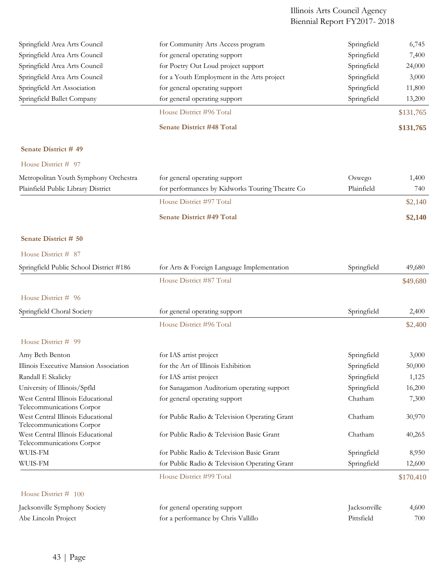| Springfield Area Arts Council                                  | for Community Arts Access program               | Springfield  | 6,745     |
|----------------------------------------------------------------|-------------------------------------------------|--------------|-----------|
| Springfield Area Arts Council                                  | for general operating support                   | Springfield  | 7,400     |
| Springfield Area Arts Council                                  | for Poetry Out Loud project support             | Springfield  | 24,000    |
| Springfield Area Arts Council                                  | for a Youth Employment in the Arts project      | Springfield  | 3,000     |
| Springfield Art Association                                    | for general operating support                   | Springfield  | 11,800    |
| Springfield Ballet Company                                     | for general operating support                   | Springfield  | 13,200    |
|                                                                | House District #96 Total                        |              | \$131,765 |
|                                                                | <b>Senate District #48 Total</b>                |              | \$131,765 |
| Senate District #49                                            |                                                 |              |           |
| House District # 97                                            |                                                 |              |           |
| Metropolitan Youth Symphony Orchestra                          | for general operating support                   | Oswego       | 1,400     |
| Plainfield Public Library District                             | for performances by Kidworks Touring Theatre Co | Plainfield   | 740       |
|                                                                | House District #97 Total                        |              | \$2,140   |
|                                                                | <b>Senate District #49 Total</b>                |              | \$2,140   |
| Senate District # 50                                           |                                                 |              |           |
| House District # 87                                            |                                                 |              |           |
|                                                                |                                                 |              |           |
| Springfield Public School District #186                        | for Arts & Foreign Language Implementation      | Springfield  | 49,680    |
|                                                                | House District #87 Total                        |              | \$49,680  |
| House District # 96                                            |                                                 |              |           |
| Springfield Choral Society                                     | for general operating support                   | Springfield  | 2,400     |
|                                                                | House District #96 Total                        |              | \$2,400   |
| House District # 99                                            |                                                 |              |           |
| Amy Beth Benton                                                | for IAS artist project                          | Springfield  | 3,000     |
| Illinois Executive Mansion Association                         | for the Art of Illinois Exhibition              | Springfield  | 50,000    |
| Randall E Skalicky                                             | for IAS artist project                          | Springfield  | 1,125     |
| University of Illinois/Spfld                                   | for Sanagamon Auditorium operating support      | Springfield  | 16,200    |
| West Central Illinois Educational                              | for general operating support                   | Chatham      | 7,300     |
| Telecommunications Corpor                                      |                                                 |              |           |
| West Central Illinois Educational<br>Telecommunications Corpor | for Public Radio & Television Operating Grant   | Chatham      | 30,970    |
| West Central Illinois Educational                              | for Public Radio & Television Basic Grant       | Chatham      | 40,265    |
| Telecommunications Corpor                                      |                                                 |              |           |
| WUIS-FM                                                        | for Public Radio & Television Basic Grant       | Springfield  | 8,950     |
| WUIS-FM                                                        | for Public Radio & Television Operating Grant   | Springfield  | 12,600    |
|                                                                | House District #99 Total                        |              | \$170,410 |
| House District # 100                                           |                                                 |              |           |
| Jacksonville Symphony Society                                  | for general operating support                   | Jacksonville | 4,600     |
| Abe Lincoln Project                                            | for a performance by Chris Vallillo             | Pittsfield   | 700       |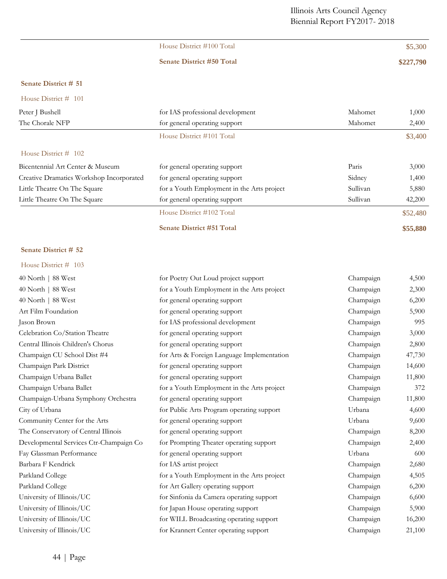| House District #100 Total        | \$5,300   |
|----------------------------------|-----------|
| <b>Senate District #50 Total</b> | \$227,790 |
|                                  |           |

## **Senate District # 51**

| House District $\#$ 101 |  |  |
|-------------------------|--|--|
|-------------------------|--|--|

| Peter J Bushell                          | for IAS professional development           | Mahomet  | 1,000    |
|------------------------------------------|--------------------------------------------|----------|----------|
| The Chorale NFP                          | for general operating support              | Mahomet  | 2,400    |
|                                          | House District #101 Total                  |          | \$3,400  |
| House District $#$ 102                   |                                            |          |          |
| Bicentennial Art Center & Museum         | for general operating support              | Paris    | 3,000    |
| Creative Dramatics Workshop Incorporated | for general operating support              | Sidney   | 1,400    |
| Little Theatre On The Square             | for a Youth Employment in the Arts project | Sullivan | 5,880    |
| Little Theatre On The Square             | for general operating support              | Sullivan | 42,200   |
|                                          | House District #102 Total                  |          | \$52,480 |
|                                          | <b>Senate District #51 Total</b>           |          | \$55,880 |

## **Senate District # 52**

| 40 North   88 West                      | for Poetry Out Loud project support        | Champaign | 4,500  |
|-----------------------------------------|--------------------------------------------|-----------|--------|
| 40 North   88 West                      | for a Youth Employment in the Arts project | Champaign | 2,300  |
| 40 North   88 West                      | for general operating support              | Champaign | 6,200  |
| Art Film Foundation                     | for general operating support              | Champaign | 5,900  |
| Jason Brown                             | for IAS professional development           | Champaign | 995    |
| Celebration Co/Station Theatre          | for general operating support              | Champaign | 3,000  |
| Central Illinois Children's Chorus      | for general operating support              | Champaign | 2,800  |
| Champaign CU School Dist #4             | for Arts & Foreign Language Implementation | Champaign | 47,730 |
| Champaign Park District                 | for general operating support              | Champaign | 14,600 |
| Champaign Urbana Ballet                 | for general operating support              | Champaign | 11,800 |
| Champaign Urbana Ballet                 | for a Youth Employment in the Arts project | Champaign | 372    |
| Champaign-Urbana Symphony Orchestra     | for general operating support              | Champaign | 11,800 |
| City of Urbana                          | for Public Arts Program operating support  | Urbana    | 4,600  |
| Community Center for the Arts           | for general operating support              | Urbana    | 9,600  |
| The Conservatory of Central Illinois    | for general operating support              | Champaign | 8,200  |
| Developmental Services Ctr-Champaign Co | for Prompting Theater operating support    | Champaign | 2,400  |
| Fay Glassman Performance                | for general operating support              | Urbana    | 600    |
| Barbara F Kendrick                      | for IAS artist project                     | Champaign | 2,680  |
| Parkland College                        | for a Youth Employment in the Arts project | Champaign | 4,505  |
| Parkland College                        | for Art Gallery operating support          | Champaign | 6,200  |
| University of Illinois/UC               | for Sinfonia da Camera operating support   | Champaign | 6,600  |
| University of Illinois/UC               | for Japan House operating support          | Champaign | 5,900  |
| University of Illinois/UC               | for WILL Broadcasting operating support    | Champaign | 16,200 |
| University of Illinois/UC               | for Krannert Center operating support      | Champaign | 21,100 |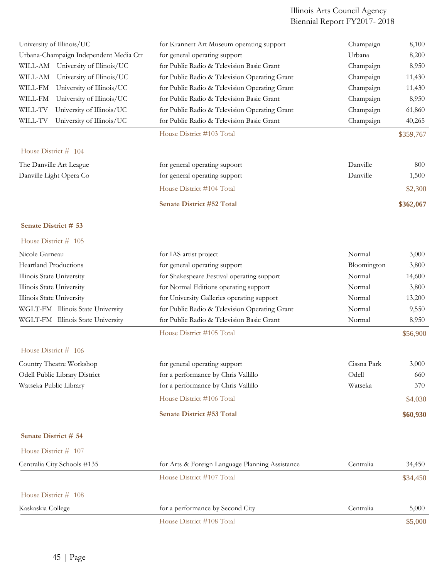| University of Illinois/UC              | for Krannert Art Museum operating support       | Champaign   | 8,100     |
|----------------------------------------|-------------------------------------------------|-------------|-----------|
| Urbana-Champaign Independent Media Ctr | for general operating support                   | Urbana      | 8,200     |
| WILL-AM University of Illinois/UC      | for Public Radio & Television Basic Grant       | Champaign   | 8,950     |
| University of Illinois/UC<br>WILL-AM   | for Public Radio & Television Operating Grant   | Champaign   | 11,430    |
| University of Illinois/UC<br>WILL-FM   | for Public Radio & Television Operating Grant   | Champaign   | 11,430    |
| University of Illinois/UC<br>WILL-FM   | for Public Radio & Television Basic Grant       | Champaign   | 8,950     |
| University of Illinois/UC<br>WILL-TV   | for Public Radio & Television Operating Grant   | Champaign   | 61,860    |
| WILL-TV<br>University of Illinois/UC   | for Public Radio & Television Basic Grant       | Champaign   | 40,265    |
|                                        | House District #103 Total                       |             | \$359,767 |
| House District # 104                   |                                                 |             |           |
| The Danville Art League                | for general operating supoort                   | Danville    | 800       |
| Danville Light Opera Co                | for general operating support                   | Danville    | 1,500     |
|                                        | House District #104 Total                       |             | \$2,300   |
|                                        | Senate District #52 Total                       |             | \$362,067 |
| Senate District # 53                   |                                                 |             |           |
| House District # 105                   |                                                 |             |           |
| Nicole Garneau                         | for IAS artist project                          | Normal      | 3,000     |
| <b>Heartland Productions</b>           | for general operating support                   | Bloomington | 3,800     |
| Illinois State University              | for Shakespeare Festival operating support      | Normal      | 14,600    |
| Illinois State University              | for Normal Editions operating support           | Normal      | 3,800     |
| Illinois State University              | for University Galleries operating support      | Normal      | 13,200    |
| WGLT-FM Illinois State University      | for Public Radio & Television Operating Grant   | Normal      | 9,550     |
| WGLT-FM Illinois State University      | for Public Radio & Television Basic Grant       | Normal      | 8,950     |
|                                        | House District #105 Total                       |             | \$56,900  |
| House District # 106                   |                                                 |             |           |
| Country Theatre Workshop               | for general operating support                   | Cissna Park | 3,000     |
| Odell Public Library District          | for a performance by Chris Vallillo             | Odell       | 660       |
| Watseka Public Library                 | for a performance by Chris Vallillo             | Watseka     | 370       |
|                                        | House District #106 Total                       |             | \$4,030   |
|                                        | <b>Senate District #53 Total</b>                |             | \$60,930  |
| Senate District # 54                   |                                                 |             |           |
| House District # 107                   |                                                 |             |           |
| Centralia City Schools #135            | for Arts & Foreign Language Planning Assistance | Centralia   | 34,450    |
|                                        | House District #107 Total                       |             | \$34,450  |
| House District # 108                   |                                                 |             |           |
| Kaskaskia College                      | for a performance by Second City                | Centralia   | 5,000     |
|                                        | House District #108 Total                       |             | \$5,000   |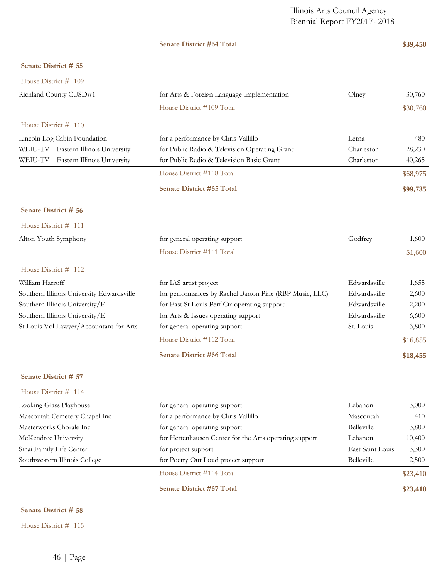## **Senate District #54 Total \$39,450**

## **Senate District # 55**

| House District # 109                      |                                                         |                  |          |
|-------------------------------------------|---------------------------------------------------------|------------------|----------|
| Richland County CUSD#1                    | for Arts & Foreign Language Implementation              | Olney            | 30,760   |
|                                           | House District #109 Total                               |                  | \$30,760 |
| House District # 110                      |                                                         |                  |          |
| Lincoln Log Cabin Foundation              | for a performance by Chris Vallillo                     | Lerna            | 480      |
| WEIU-TV Eastern Illinois University       | for Public Radio & Television Operating Grant           | Charleston       | 28,230   |
| WEIU-TV<br>Eastern Illinois University    | for Public Radio & Television Basic Grant               | Charleston       | 40,265   |
|                                           | House District #110 Total                               |                  | \$68,975 |
|                                           | <b>Senate District #55 Total</b>                        |                  | \$99,735 |
| Senate District # 56                      |                                                         |                  |          |
| House District # 111                      |                                                         |                  |          |
| Alton Youth Symphony                      | for general operating support                           | Godfrey          | 1,600    |
|                                           | House District #111 Total                               |                  | \$1,600  |
| House District # 112                      |                                                         |                  |          |
| William Harroff                           | for IAS artist project                                  | Edwardsville     | 1,655    |
| Southern Illinois University Edwardsville | for performances by Rachel Barton Pine (RBP Music, LLC) | Edwardsville     | 2,600    |
| Southern Illinois University/E            | for East St Louis Perf Ctr operating support            | Edwardsville     | 2,200    |
| Southern Illinois University/E            | for Arts & Issues operating support                     | Edwardsville     | 6,600    |
| St Louis Vol Lawyer/Accountant for Arts   | for general operating support                           | St. Louis        | 3,800    |
|                                           | House District #112 Total                               |                  | \$16,855 |
|                                           | Senate District #56 Total                               |                  | \$18,455 |
| Senate District # 57                      |                                                         |                  |          |
| House District # 114                      |                                                         |                  |          |
| Looking Glass Playhouse                   | for general operating support                           | Lebanon          | 3,000    |
| Mascoutah Cemetery Chapel Inc             | for a performance by Chris Vallillo                     | Mascoutah        | 410      |
| Masterworks Chorale Inc                   | for general operating support                           | Belleville       | 3,800    |
| McKendree University                      | for Hettenhausen Center for the Arts operating support  | Lebanon          | 10,400   |
| Sinai Family Life Center                  | for project support                                     | East Saint Louis | 3,300    |
| Southwestern Illinois College             | for Poetry Out Loud project support                     | Belleville       | 2,500    |
|                                           | House District #114 Total                               |                  | \$23,410 |
|                                           | Senate District #57 Total                               |                  | \$23,410 |

## **Senate District # 58**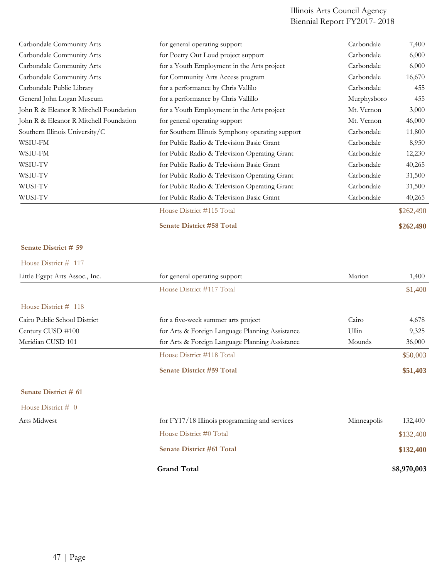| for general operating support                    | Carbondale  | 7,400     |
|--------------------------------------------------|-------------|-----------|
| for Poetry Out Loud project support              | Carbondale  | 6,000     |
| for a Youth Employment in the Arts project       | Carbondale  | 6,000     |
| for Community Arts Access program                | Carbondale  | 16,670    |
| for a performance by Chris Vallilo               | Carbondale  | 455       |
| for a performance by Chris Vallillo              | Murphysboro | 455       |
| for a Youth Employment in the Arts project       | Mt. Vernon  | 3,000     |
| for general operating support                    | Mt. Vernon  | 46,000    |
| for Southern Illinois Symphony operating support | Carbondale  | 11,800    |
| for Public Radio & Television Basic Grant        | Carbondale  | 8,950     |
| for Public Radio & Television Operating Grant    | Carbondale  | 12,230    |
| for Public Radio & Television Basic Grant        | Carbondale  | 40,265    |
| for Public Radio & Television Operating Grant    | Carbondale  | 31,500    |
| for Public Radio & Television Operating Grant    | Carbondale  | 31,500    |
| for Public Radio & Television Basic Grant        | Carbondale  | 40,265    |
| House District #115 Total                        |             | \$262,490 |
| <b>Senate District #58 Total</b>                 |             | \$262,490 |
|                                                  |             |           |

## **Senate District # 59**

| Little Egypt Arts Assoc., Inc. | for general operating support                   | Marion      | 1,400    |
|--------------------------------|-------------------------------------------------|-------------|----------|
|                                | House District #117 Total                       |             | \$1,400  |
| House District # 118           |                                                 |             |          |
| Cairo Public School District   | for a five-week summer arts project             | Cairo       | 4,678    |
| Century CUSD #100              | for Arts & Foreign Language Planning Assistance | Ullin       | 9,325    |
| Meridian CUSD 101              | for Arts & Foreign Language Planning Assistance | Mounds      | 36,000   |
|                                | House District #118 Total                       |             | \$50,003 |
|                                | <b>Senate District #59 Total</b>                |             | \$51,403 |
| Senate District # 61           |                                                 |             |          |
| House District $# 0$           |                                                 |             |          |
| Arts Midwest                   | for FY17/18 Illinois programming and services   | Minneapolis | 132,400  |

| $\sim$                           |             |
|----------------------------------|-------------|
| House District #0 Total          | \$132,400   |
| <b>Senate District #61 Total</b> | \$132,400   |
| <b>Grand Total</b>               | \$8,970,003 |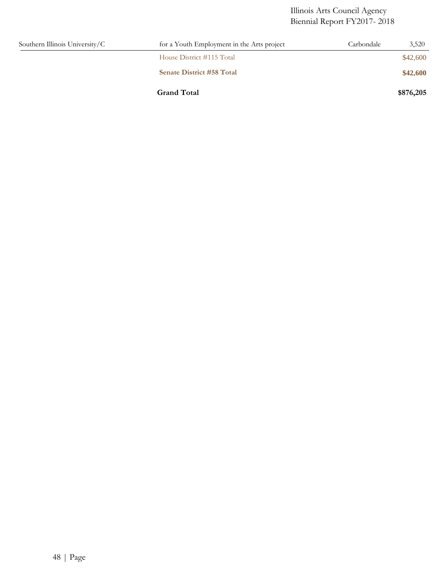| Southern Illinois University/C | for a Youth Employment in the Arts project | Carbondale | 3,520     |
|--------------------------------|--------------------------------------------|------------|-----------|
|                                | House District #115 Total                  |            | \$42,600  |
|                                | <b>Senate District #58 Total</b>           |            | \$42,600  |
|                                | <b>Grand Total</b>                         |            | \$876,205 |